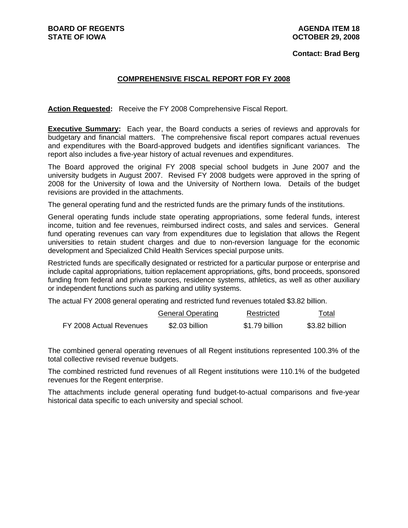#### **Contact: Brad Berg**

# **COMPREHENSIVE FISCAL REPORT FOR FY 2008**

**Action Requested:** Receive the FY 2008 Comprehensive Fiscal Report.

**Executive Summary:** Each year, the Board conducts a series of reviews and approvals for budgetary and financial matters. The comprehensive fiscal report compares actual revenues and expenditures with the Board-approved budgets and identifies significant variances. The report also includes a five-year history of actual revenues and expenditures.

The Board approved the original FY 2008 special school budgets in June 2007 and the university budgets in August 2007. Revised FY 2008 budgets were approved in the spring of 2008 for the University of Iowa and the University of Northern Iowa. Details of the budget revisions are provided in the attachments.

The general operating fund and the restricted funds are the primary funds of the institutions.

General operating funds include state operating appropriations, some federal funds, interest income, tuition and fee revenues, reimbursed indirect costs, and sales and services. General fund operating revenues can vary from expenditures due to legislation that allows the Regent universities to retain student charges and due to non-reversion language for the economic development and Specialized Child Health Services special purpose units.

Restricted funds are specifically designated or restricted for a particular purpose or enterprise and include capital appropriations, tuition replacement appropriations, gifts, bond proceeds, sponsored funding from federal and private sources, residence systems, athletics, as well as other auxiliary or independent functions such as parking and utility systems.

The actual FY 2008 general operating and restricted fund revenues totaled \$3.82 billion.

|                         | <b>General Operating</b> | Restricted     | Total<br>---   |
|-------------------------|--------------------------|----------------|----------------|
| FY 2008 Actual Revenues | \$2.03 billion           | \$1.79 billion | \$3.82 billion |

The combined general operating revenues of all Regent institutions represented 100.3% of the total collective revised revenue budgets.

The combined restricted fund revenues of all Regent institutions were 110.1% of the budgeted revenues for the Regent enterprise.

The attachments include general operating fund budget-to-actual comparisons and five-year historical data specific to each university and special school.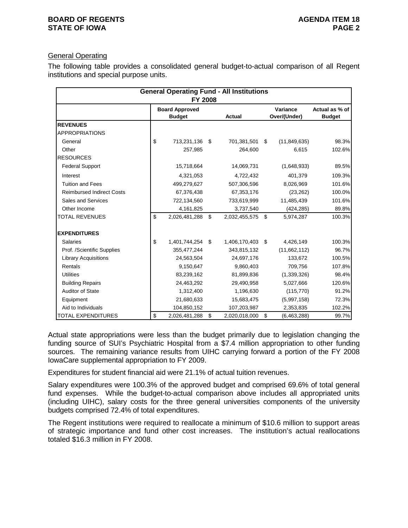# General Operating

The following table provides a consolidated general budget-to-actual comparison of all Regent institutions and special purpose units.

|                                  | <b>FY 2008</b>                         | <b>General Operating Fund - All Institutions</b> |                          |                                 |
|----------------------------------|----------------------------------------|--------------------------------------------------|--------------------------|---------------------------------|
|                                  | <b>Board Approved</b><br><b>Budget</b> | <b>Actual</b>                                    | Variance<br>Over/(Under) | Actual as % of<br><b>Budget</b> |
| <b>REVENUES</b>                  |                                        |                                                  |                          |                                 |
| <b>APPROPRIATIONS</b>            |                                        |                                                  |                          |                                 |
| General                          | \$<br>713,231,136 \$                   | 701,381,501                                      | \$<br>(11, 849, 635)     | 98.3%                           |
| Other                            | 257,985                                | 264,600                                          | 6,615                    | 102.6%                          |
| <b>RESOURCES</b>                 |                                        |                                                  |                          |                                 |
| <b>Federal Support</b>           | 15,718,664                             | 14,069,731                                       | (1,648,933)              | 89.5%                           |
| Interest                         | 4,321,053                              | 4,722,432                                        | 401,379                  | 109.3%                          |
| <b>Tuition and Fees</b>          | 499,279,627                            | 507,306,596                                      | 8,026,969                | 101.6%                          |
| <b>Reimbursed Indirect Costs</b> | 67,376,438                             | 67,353,176                                       | (23, 262)                | 100.0%                          |
| Sales and Services               | 722,134,560                            | 733,619,999                                      | 11,485,439               | 101.6%                          |
| Other Income                     | 4,161,825                              | 3,737,540                                        | (424, 285)               | 89.8%                           |
| <b>TOTAL REVENUES</b>            | \$<br>2,026,481,288                    | \$<br>2,032,455,575 \$                           | 5,974,287                | 100.3%                          |
| <b>EXPENDITURES</b>              |                                        |                                                  |                          |                                 |
| <b>Salaries</b>                  | \$<br>1,401,744,254 \$                 | 1,406,170,403 \$                                 | 4,426,149                | 100.3%                          |
| Prof. /Scientific Supplies       | 355,477,244                            | 343,815,132                                      | (11,662,112)             | 96.7%                           |
| <b>Library Acquisitions</b>      | 24,563,504                             | 24,697,176                                       | 133,672                  | 100.5%                          |
| Rentals                          | 9,150,647                              | 9,860,403                                        | 709,756                  | 107.8%                          |
| <b>Utilities</b>                 | 83,239,162                             | 81,899,836                                       | (1,339,326)              | 98.4%                           |
| <b>Building Repairs</b>          | 24,463,292                             | 29,490,958                                       | 5,027,666                | 120.6%                          |
| <b>Auditor of State</b>          | 1,312,400                              | 1,196,630                                        | (115, 770)               | 91.2%                           |
| Equipment                        | 21,680,633                             | 15,683,475                                       | (5,997,158)              | 72.3%                           |
| Aid to Individuals               | 104,850,152                            | 107,203,987                                      | 2,353,835                | 102.2%                          |
| <b>TOTAL EXPENDITURES</b>        | \$<br>2,026,481,288                    | \$<br>2,020,018,000                              | \$<br>(6,463,288)        | 99.7%                           |

Actual state appropriations were less than the budget primarily due to legislation changing the funding source of SUI's Psychiatric Hospital from a \$7.4 million appropriation to other funding sources. The remaining variance results from UIHC carrying forward a portion of the FY 2008 IowaCare supplemental appropriation to FY 2009.

Expenditures for student financial aid were 21.1% of actual tuition revenues.

Salary expenditures were 100.3% of the approved budget and comprised 69.6% of total general fund expenses. While the budget-to-actual comparison above includes all appropriated units (including UIHC), salary costs for the three general universities components of the university budgets comprised 72.4% of total expenditures.

The Regent institutions were required to reallocate a minimum of \$10.6 million to support areas of strategic importance and fund other cost increases. The institution's actual reallocations totaled \$16.3 million in FY 2008.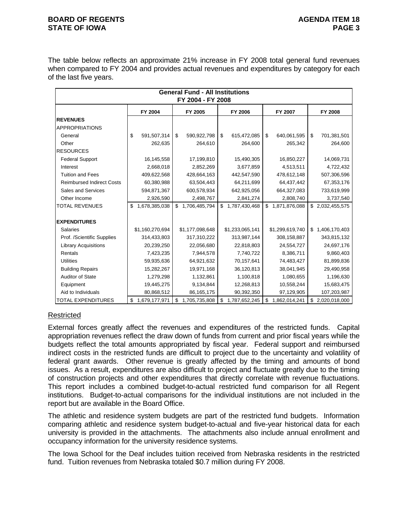### **BOARD OF REGENTS AGENUS AGENDA ITEM 18 STATE OF IOWA** PAGE 3

The table below reflects an approximate 21% increase in FY 2008 total general fund revenues when compared to FY 2004 and provides actual revenues and expenditures by category for each of the last five years.

| <b>General Fund - All Institutions</b><br>FY 2004 - FY 2008 |    |                 |    |                 |    |                 |    |                 |    |                  |  |
|-------------------------------------------------------------|----|-----------------|----|-----------------|----|-----------------|----|-----------------|----|------------------|--|
|                                                             |    | FY 2004         |    | FY 2005         |    | FY 2006         |    | FY 2007         |    | FY 2008          |  |
| <b>REVENUES</b>                                             |    |                 |    |                 |    |                 |    |                 |    |                  |  |
| <b>APPROPRIATIONS</b>                                       |    |                 |    |                 |    |                 |    |                 |    |                  |  |
| General                                                     | \$ | 591,507,314     | \$ | 590,922,798     | \$ | 615,472,085     | \$ | 640,061,595     | \$ | 701,381,501      |  |
| Other                                                       |    | 262,635         |    | 264,610         |    | 264,600         |    | 265,342         |    | 264,600          |  |
| <b>RESOURCES</b>                                            |    |                 |    |                 |    |                 |    |                 |    |                  |  |
| <b>Federal Support</b>                                      |    | 16,145,558      |    | 17,199,810      |    | 15,490,305      |    | 16,850,227      |    | 14,069,731       |  |
| Interest                                                    |    | 2,668,018       |    | 2,852,269       |    | 3,677,859       |    | 4,513,511       |    | 4,722,432        |  |
| <b>Tuition and Fees</b>                                     |    | 409,622,568     |    | 428,664,163     |    | 442,547,590     |    | 478,612,148     |    | 507,306,596      |  |
| <b>Reimbursed Indirect Costs</b>                            |    | 60,380,988      |    | 63,504,443      |    | 64,211,699      |    | 64,437,442      |    | 67,353,176       |  |
| Sales and Services                                          |    | 594,871,367     |    | 600,578,934     |    | 642,925,056     |    | 664,327,083     |    | 733,619,999      |  |
| Other Income                                                |    | 2,926,590       |    | 2,498,767       |    | 2,841,274       |    | 2,808,740       |    | 3,737,540        |  |
| <b>TOTAL REVENUES</b>                                       | \$ | 1,678,385,038   | \$ | 1,706,485,794   | \$ | 1,787,430,468   | \$ | 1,871,876,088   |    | \$ 2,032,455,575 |  |
| <b>EXPENDITURES</b>                                         |    |                 |    |                 |    |                 |    |                 |    |                  |  |
| <b>Salaries</b>                                             |    | \$1,160,270,694 |    | \$1,177,098,648 |    | \$1,233,065,141 |    | \$1,299,619,740 | \$ | 1,406,170,403    |  |
| Prof. /Scientific Supplies                                  |    | 314,433,803     |    | 317,310,222     |    | 313,987,144     |    | 308,158,887     |    | 343,815,132      |  |
| <b>Library Acquisitions</b>                                 |    | 20,239,250      |    | 22,056,680      |    | 22,818,803      |    | 24,554,727      |    | 24,697,176       |  |
| Rentals                                                     |    | 7,423,235       |    | 7,944,578       |    | 7,740,722       |    | 8,386,711       |    | 9,860,403        |  |
| <b>Utilities</b>                                            |    | 59,935,636      |    | 64,921,632      |    | 70,157,641      |    | 74,483,427      |    | 81,899,836       |  |
| <b>Building Repairs</b>                                     |    | 15,282,267      |    | 19,971,168      |    | 36,120,813      |    | 38,041,945      |    | 29,490,958       |  |
| <b>Auditor of State</b>                                     |    | 1,279,298       |    | 1,132,861       |    | 1,100,818       |    | 1,080,655       |    | 1,196,630        |  |
| Equipment                                                   |    | 19,445,275      |    | 9,134,844       |    | 12,268,813      |    | 10,558,244      |    | 15,683,475       |  |
| Aid to Individuals                                          |    | 80,868,512      |    | 86,165,175      |    | 90,392,350      |    | 97,129,905      |    | 107,203,987      |  |
| <b>TOTAL EXPENDITURES</b>                                   | \$ | 1,679,177,971   | \$ | 1,705,735,808   | \$ | 1,787,652,245   | \$ | 1,862,014,241   | \$ | 2,020,018,000    |  |

# **Restricted**

External forces greatly affect the revenues and expenditures of the restricted funds. Capital appropriation revenues reflect the draw down of funds from current and prior fiscal years while the budgets reflect the total amounts appropriated by fiscal year. Federal support and reimbursed indirect costs in the restricted funds are difficult to project due to the uncertainty and volatility of federal grant awards. Other revenue is greatly affected by the timing and amounts of bond issues. As a result, expenditures are also difficult to project and fluctuate greatly due to the timing of construction projects and other expenditures that directly correlate with revenue fluctuations. This report includes a combined budget-to-actual restricted fund comparison for all Regent institutions. Budget-to-actual comparisons for the individual institutions are not included in the report but are available in the Board Office.

The athletic and residence system budgets are part of the restricted fund budgets. Information comparing athletic and residence system budget-to-actual and five-year historical data for each university is provided in the attachments. The attachments also include annual enrollment and occupancy information for the university residence systems.

The Iowa School for the Deaf includes tuition received from Nebraska residents in the restricted fund. Tuition revenues from Nebraska totaled \$0.7 million during FY 2008.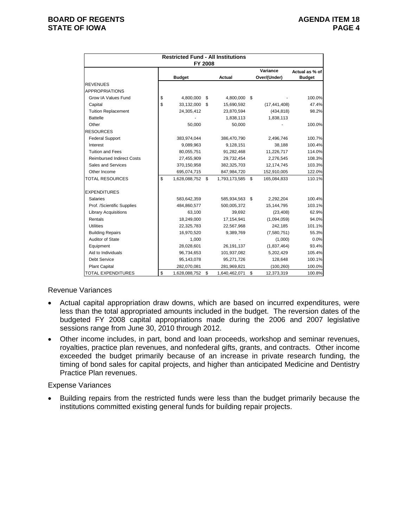|                                  | <b>Restricted Fund - All Institutions</b><br>FY 2008 |               |    |                |    |                          |                                 |  |  |  |  |
|----------------------------------|------------------------------------------------------|---------------|----|----------------|----|--------------------------|---------------------------------|--|--|--|--|
|                                  |                                                      | <b>Budget</b> |    | Actual         |    | Variance<br>Over/(Under) | Actual as % of<br><b>Budget</b> |  |  |  |  |
| <b>REVENUES</b>                  |                                                      |               |    |                |    |                          |                                 |  |  |  |  |
| <b>APPROPRIATIONS</b>            |                                                      |               |    |                |    |                          |                                 |  |  |  |  |
| Grow IA Values Fund              | \$                                                   | 4,800,000     | \$ | 4,800,000 \$   |    |                          | 100.0%                          |  |  |  |  |
| Capital                          | \$                                                   | 33,132,000    | \$ | 15,690,592     |    | (17, 441, 408)           | 47.4%                           |  |  |  |  |
| <b>Tuition Replacement</b>       |                                                      | 24,305,412    |    | 23,870,594     |    | (434, 818)               | 98.2%                           |  |  |  |  |
| <b>Battelle</b>                  |                                                      |               |    | 1,838,113      |    | 1,838,113                |                                 |  |  |  |  |
| Other                            |                                                      | 50,000        |    | 50,000         |    |                          | 100.0%                          |  |  |  |  |
| <b>RESOURCES</b>                 |                                                      |               |    |                |    |                          |                                 |  |  |  |  |
| <b>Federal Support</b>           |                                                      | 383,974,044   |    | 386,470,790    |    | 2,496,746                | 100.7%                          |  |  |  |  |
| Interest                         |                                                      | 9,089,963     |    | 9,128,151      |    | 38,188                   | 100.4%                          |  |  |  |  |
| <b>Tuition and Fees</b>          |                                                      | 80,055,751    |    | 91,282,468     |    | 11,226,717               | 114.0%                          |  |  |  |  |
| <b>Reimbursed Indirect Costs</b> |                                                      | 27,455,909    |    | 29,732,454     |    | 2,276,545                | 108.3%                          |  |  |  |  |
| Sales and Services               |                                                      | 370,150,958   |    | 382,325,703    |    | 12,174,745               | 103.3%                          |  |  |  |  |
| Other Income                     |                                                      | 695,074,715   |    | 847,984,720    |    | 152,910,005              | 122.0%                          |  |  |  |  |
| <b>TOTAL RESOURCES</b>           | \$                                                   | 1,628,088,752 | \$ | 1,793,173,585  | \$ | 165,084,833              | 110.1%                          |  |  |  |  |
| <b>EXPENDITURES</b>              |                                                      |               |    |                |    |                          |                                 |  |  |  |  |
| <b>Salaries</b>                  |                                                      | 583,642,359   |    | 585,934,563 \$ |    | 2,292,204                | 100.4%                          |  |  |  |  |
| Prof. /Scientific Supplies       |                                                      | 484,860,577   |    | 500,005,372    |    | 15, 144, 795             | 103.1%                          |  |  |  |  |
| <b>Library Acquisitions</b>      |                                                      | 63,100        |    | 39,692         |    | (23, 408)                | 62.9%                           |  |  |  |  |
| Rentals                          |                                                      | 18,249,000    |    | 17, 154, 941   |    | (1,094,059)              | 94.0%                           |  |  |  |  |
| <b>Utilities</b>                 |                                                      | 22,325,783    |    | 22,567,968     |    | 242,185                  | 101.1%                          |  |  |  |  |
| <b>Building Repairs</b>          |                                                      | 16,970,520    |    | 9,389,769      |    | (7,580,751)              | 55.3%                           |  |  |  |  |
| Auditor of State                 |                                                      | 1,000         |    |                |    | (1,000)                  | 0.0%                            |  |  |  |  |
| Equipment                        |                                                      | 28,028,601    |    | 26,191,137     |    | (1,837,464)              | 93.4%                           |  |  |  |  |
| Aid to Individuals               |                                                      | 96,734,653    |    | 101,937,082    |    | 5,202,429                | 105.4%                          |  |  |  |  |
| <b>Debt Service</b>              |                                                      | 95,143,078    |    | 95,271,726     |    | 128,648                  | 100.1%                          |  |  |  |  |
| <b>Plant Capital</b>             |                                                      | 282,070,081   |    | 281,969,821    |    | (100, 260)               | 100.0%                          |  |  |  |  |
| <b>TOTAL EXPENDITURES</b>        | \$                                                   | 1,628,088,752 | \$ | 1,640,462,071  | \$ | 12,373,319               | 100.8%                          |  |  |  |  |

## Revenue Variances

- Actual capital appropriation draw downs, which are based on incurred expenditures, were less than the total appropriated amounts included in the budget. The reversion dates of the budgeted FY 2008 capital appropriations made during the 2006 and 2007 legislative sessions range from June 30, 2010 through 2012.
- Other income includes, in part, bond and loan proceeds, workshop and seminar revenues, royalties, practice plan revenues, and nonfederal gifts, grants, and contracts. Other income exceeded the budget primarily because of an increase in private research funding, the timing of bond sales for capital projects, and higher than anticipated Medicine and Dentistry Practice Plan revenues.

### Expense Variances

• Building repairs from the restricted funds were less than the budget primarily because the institutions committed existing general funds for building repair projects.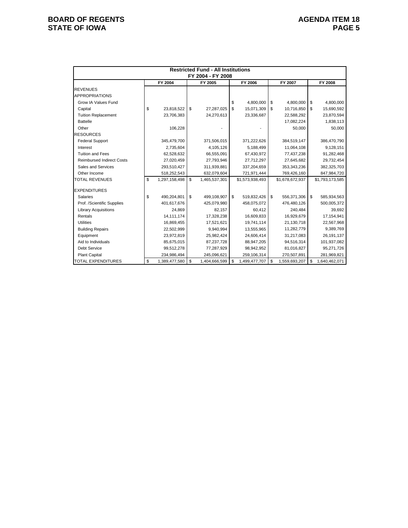# **BOARD OF REGENTS**<br> **BOARD OF REGENTS**<br> **BOARD OF IOWA**<br>
PAGE 5 **STATE OF IOWA**

|                                  |                     | <b>Restricted Fund - All Institutions</b><br>FY 2004 - FY 2008 |     |                 |                     |                     |
|----------------------------------|---------------------|----------------------------------------------------------------|-----|-----------------|---------------------|---------------------|
|                                  | FY 2004             | FY 2005                                                        |     | FY 2006         | FY 2007             | FY 2008             |
| <b>REVENUES</b>                  |                     |                                                                |     |                 |                     |                     |
| <b>APPROPRIATIONS</b>            |                     |                                                                |     |                 |                     |                     |
| Grow IA Values Fund              |                     |                                                                | \$  | 4,800,000       | \$<br>4,800,000     | \$<br>4,800,000     |
| Capital                          | \$<br>23,818,522    | \$<br>27,287,025                                               | \$  | 15,071,309      | \$<br>10,716,850    | \$<br>15,690,592    |
| <b>Tuition Replacement</b>       | 23,706,383          | 24,270,613                                                     |     | 23,336,687      | 22,588,292          | 23,870,594          |
| <b>Battelle</b>                  |                     |                                                                |     |                 | 17,082,224          | 1,838,113           |
| Other                            | 106,228             |                                                                |     |                 | 50,000              | 50,000              |
| <b>RESOURCES</b>                 |                     |                                                                |     |                 |                     |                     |
| <b>Federal Support</b>           | 345,479,700         | 371,506,015                                                    |     | 371,222,626     | 384,519,147         | 386,470,790         |
| Interest                         | 2,735,604           | 4,105,126                                                      |     | 5,188,499       | 11,064,108          | 9,128,151           |
| <b>Tuition and Fees</b>          | 62,528,632          | 66,555,091                                                     |     | 67.430.972      | 77,437,238          | 91,282,468          |
| <b>Reimbursed Indirect Costs</b> | 27,020,459          | 27,793,946                                                     |     | 27,712,297      | 27,645,682          | 29,732,454          |
| Sales and Services               | 293,510,427         | 311,939,881                                                    |     | 337,204,659     | 353,343,236         | 382,325,703         |
| Other Income                     | 518,252,543         | 632,079,604                                                    |     | 721,971,444     | 769,426,160         | 847,984,720         |
| <b>TOTAL REVENUES</b>            | \$<br>1,297,158,498 | \$<br>1,465,537,301                                            |     | \$1,573,938,493 | \$1,678,672,937     | \$1,793,173,585     |
| <b>EXPENDITURES</b>              |                     |                                                                |     |                 |                     |                     |
| Salaries                         | \$<br>490,204,801   | \$<br>499,108,907                                              | \$  | 519,832,426     | \$<br>556,371,306   | \$<br>585,934,563   |
| Prof. /Scientific Supplies       | 401,617,676         | 425,079,980                                                    |     | 458,075,072     | 476,480,126         | 500,005,372         |
| <b>Library Acquisitions</b>      | 24,869              | 82,157                                                         |     | 60,412          | 240,484             | 39,692              |
| Rentals                          | 14, 111, 174        | 17,328,238                                                     |     | 16,609,833      | 16,929,679          | 17,154,941          |
| Utilities                        | 16,869,455          | 17,521,621                                                     |     | 19,741,114      | 21,130,718          | 22,567,968          |
| <b>Building Repairs</b>          | 22,502,999          | 9,940,994                                                      |     | 13,555,965      | 11,282,779          | 9,389,769           |
| Equipment                        | 23,972,819          | 25,982,424                                                     |     | 24,606,414      | 31,217,083          | 26,191,137          |
| Aid to Individuals               | 85,675,015          | 87,237,728                                                     |     | 88,947,205      | 94,516,314          | 101,937,082         |
| <b>Debt Service</b>              | 99,512,278          | 77,287,929                                                     |     | 98,942,952      | 81,016,827          | 95,271,726          |
| Plant Capital                    | 234,986,494         | 245,096,621                                                    |     | 259,106,314     | 270,507,891         | 281,969,821         |
| <b>TOTAL EXPENDITURES</b>        | \$<br>1,389,477,580 | \$<br>1,404,666,599                                            | \$. | 1,499,477,707   | \$<br>1,559,693,207 | \$<br>1,640,462,071 |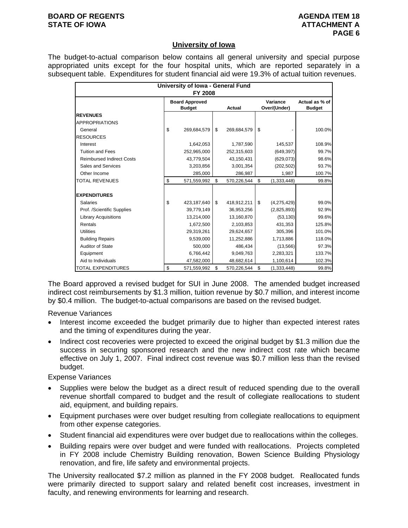#### **BOARD OF REGENTS AGENUS AGENDA ITEM 18 STATE OF IOWA ATTACHMENT A**

## **University of Iowa**

The budget-to-actual comparison below contains all general university and special purpose appropriated units except for the four hospital units, which are reported separately in a subsequent table. Expenditures for student financial aid were 19.3% of actual tuition revenues.

| University of Iowa - General Fund<br><b>FY 2008</b> |    |                                        |    |             |                          |               |                                 |  |  |  |
|-----------------------------------------------------|----|----------------------------------------|----|-------------|--------------------------|---------------|---------------------------------|--|--|--|
|                                                     |    | <b>Board Approved</b><br><b>Budget</b> |    | Actual      | Variance<br>Over/(Under) |               | Actual as % of<br><b>Budget</b> |  |  |  |
| <b>REVENUES</b>                                     |    |                                        |    |             |                          |               |                                 |  |  |  |
| <b>APPROPRIATIONS</b>                               |    |                                        |    |             |                          |               |                                 |  |  |  |
| General                                             | \$ | 269,684,579                            | \$ | 269,684,579 | \$                       |               | 100.0%                          |  |  |  |
| <b>RESOURCES</b>                                    |    |                                        |    |             |                          |               |                                 |  |  |  |
| Interest                                            |    | 1,642,053                              |    | 1,787,590   |                          | 145,537       | 108.9%                          |  |  |  |
| <b>Tuition and Fees</b>                             |    | 252,965,000                            |    | 252,315,603 |                          | (649, 397)    | 99.7%                           |  |  |  |
| <b>Reimbursed Indirect Costs</b>                    |    | 43,779,504                             |    | 43,150,431  |                          | (629, 073)    | 98.6%                           |  |  |  |
| Sales and Services                                  |    | 3,203,856                              |    | 3,001,354   |                          | (202, 502)    | 93.7%                           |  |  |  |
| Other Income                                        |    | 285,000                                |    | 286,987     |                          | 1,987         | 100.7%                          |  |  |  |
| <b>TOTAL REVENUES</b>                               | \$ | 571,559,992                            | \$ | 570,226,544 | \$                       | (1, 333, 448) | 99.8%                           |  |  |  |
| <b>EXPENDITURES</b>                                 |    |                                        |    |             |                          |               |                                 |  |  |  |
| <b>Salaries</b>                                     | \$ | 423,187,640                            | \$ | 418,912,211 | \$                       | (4,275,429)   | 99.0%                           |  |  |  |
| Prof. /Scientific Supplies                          |    | 39,779,149                             |    | 36,953,256  |                          | (2,825,893)   | 92.9%                           |  |  |  |
| <b>Library Acquisitions</b>                         |    | 13,214,000                             |    | 13,160,870  |                          | (53, 130)     | 99.6%                           |  |  |  |
| Rentals                                             |    | 1,672,500                              |    | 2,103,853   |                          | 431,353       | 125.8%                          |  |  |  |
| <b>Utilities</b>                                    |    | 29,319,261                             |    | 29,624,657  |                          | 305,396       | 101.0%                          |  |  |  |
| <b>Building Repairs</b>                             |    | 9,539,000                              |    | 11,252,886  |                          | 1,713,886     | 118.0%                          |  |  |  |
| Auditor of State                                    |    | 500,000                                |    | 486,434     |                          | (13, 566)     | 97.3%                           |  |  |  |
| Equipment                                           |    | 6,766,442                              |    | 9,049,763   |                          | 2,283,321     | 133.7%                          |  |  |  |
| Aid to Individuals                                  |    | 47,582,000                             |    | 48,682,614  |                          | 1,100,614     | 102.3%                          |  |  |  |
| <b>TOTAL EXPENDITURES</b>                           | \$ | 571,559,992                            | \$ | 570,226,544 | \$                       | (1, 333, 448) | 99.8%                           |  |  |  |

The Board approved a revised budget for SUI in June 2008. The amended budget increased indirect cost reimbursements by \$1.3 million, tuition revenue by \$0.7 million, and interest income by \$0.4 million. The budget-to-actual comparisons are based on the revised budget.

Revenue Variances

- Interest income exceeded the budget primarily due to higher than expected interest rates and the timing of expenditures during the year.
- Indirect cost recoveries were projected to exceed the original budget by \$1.3 million due the success in securing sponsored research and the new indirect cost rate which became effective on July 1, 2007. Final indirect cost revenue was \$0.7 million less than the revised budget.

Expense Variances

- Supplies were below the budget as a direct result of reduced spending due to the overall revenue shortfall compared to budget and the result of collegiate reallocations to student aid, equipment, and building repairs.
- Equipment purchases were over budget resulting from collegiate reallocations to equipment from other expense categories.
- Student financial aid expenditures were over budget due to reallocations within the colleges.
- Building repairs were over budget and were funded with reallocations. Projects completed in FY 2008 include Chemistry Building renovation, Bowen Science Building Physiology renovation, and fire, life safety and environmental projects.

The University reallocated \$7.2 million as planned in the FY 2008 budget. Reallocated funds were primarily directed to support salary and related benefit cost increases, investment in faculty, and renewing environments for learning and research.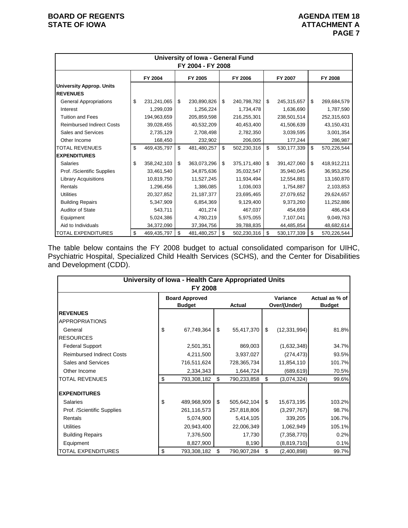|                                                     | University of Iowa - General Fund<br>FY 2004 - FY 2008 |             |    |             |    |             |    |               |    |             |  |
|-----------------------------------------------------|--------------------------------------------------------|-------------|----|-------------|----|-------------|----|---------------|----|-------------|--|
| FY 2004<br>FY 2005<br>FY 2006<br>FY 2007<br>FY 2008 |                                                        |             |    |             |    |             |    |               |    |             |  |
| <b>University Approp. Units</b><br><b>REVENUES</b>  |                                                        |             |    |             |    |             |    |               |    |             |  |
| <b>General Appropriations</b>                       | \$                                                     | 231,241,065 | \$ | 230,890,826 | \$ | 240,798,782 | \$ | 245,315,657   | \$ | 269,684,579 |  |
| Interest                                            |                                                        | 1,299,039   |    | 1,256,224   |    | 1,734,478   |    | 1,636,690     |    | 1,787,590   |  |
| <b>Tuition and Fees</b>                             |                                                        | 194,963,659 |    | 205,859,598 |    | 216,255,301 |    | 238,501,514   |    | 252,315,603 |  |
| <b>Reimbursed Indirect Costs</b>                    |                                                        | 39,028,455  |    | 40,532,209  |    | 40,453,400  |    | 41,506,639    |    | 43,150,431  |  |
| Sales and Services                                  |                                                        | 2,735,129   |    | 2,708,498   |    | 2,782,350   |    | 3,039,595     |    | 3,001,354   |  |
| Other Income                                        |                                                        | 168,450     |    | 232,902     |    | 206,005     |    | 177,244       |    | 286,987     |  |
| <b>TOTAL REVENUES</b>                               | \$                                                     | 469,435,797 | \$ | 481,480,257 | \$ | 502,230,316 | \$ | 530, 177, 339 | \$ | 570,226,544 |  |
| <b>EXPENDITURES</b>                                 |                                                        |             |    |             |    |             |    |               |    |             |  |
| <b>Salaries</b>                                     | \$                                                     | 358,242,103 | \$ | 363,073,296 | \$ | 375,171,480 | \$ | 391,427,060   | \$ | 418,912,211 |  |
| Prof. /Scientific Supplies                          |                                                        | 33,461,540  |    | 34,875,636  |    | 35,032,547  |    | 35,940,045    |    | 36,953,256  |  |
| <b>Library Acquisitions</b>                         |                                                        | 10,819,750  |    | 11,527,245  |    | 11,934,494  |    | 12,554,881    |    | 13,160,870  |  |
| Rentals                                             |                                                        | 1,296,456   |    | 1,386,085   |    | 1,036,003   |    | 1,754,887     |    | 2,103,853   |  |
| <b>Utilities</b>                                    |                                                        | 20,327,852  |    | 21,187,377  |    | 23,695,465  |    | 27,079,652    |    | 29,624,657  |  |
| <b>Building Repairs</b>                             |                                                        | 5,347,909   |    | 6,854,369   |    | 9,129,400   |    | 9,373,260     |    | 11,252,886  |  |
| <b>Auditor of State</b>                             |                                                        | 543,711     |    | 401,274     |    | 467,037     |    | 454,659       |    | 486,434     |  |
| Equipment                                           |                                                        | 5,024,386   |    | 4,780,219   |    | 5,975,055   |    | 7,107,041     |    | 9,049,763   |  |
| Aid to Individuals                                  |                                                        | 34,372,090  |    | 37,394,756  |    | 39,788,835  |    | 44,485,854    |    | 48,682,614  |  |
| <b>TOTAL EXPENDITURES</b>                           | \$                                                     | 469,435,797 | \$ | 481,480,257 | \$ | 502,230,316 | \$ | 530, 177, 339 | \$ | 570,226,544 |  |

The table below contains the FY 2008 budget to actual consolidated comparison for UIHC, Psychiatric Hospital, Specialized Child Health Services (SCHS), and the Center for Disabilities and Development (CDD).

| University of Iowa - Health Care Appropriated Units<br>FY 2008 |    |                                        |    |               |    |                          |                                 |  |  |  |  |
|----------------------------------------------------------------|----|----------------------------------------|----|---------------|----|--------------------------|---------------------------------|--|--|--|--|
|                                                                |    | <b>Board Approved</b><br><b>Budget</b> |    | <b>Actual</b> |    | Variance<br>Over/(Under) | Actual as % of<br><b>Budget</b> |  |  |  |  |
| <b>IREVENUES</b>                                               |    |                                        |    |               |    |                          |                                 |  |  |  |  |
| <b>APPROPRIATIONS</b>                                          |    |                                        |    |               |    |                          |                                 |  |  |  |  |
| General                                                        | \$ | 67,749,364                             | \$ | 55,417,370    | \$ | (12, 331, 994)           | 81.8%                           |  |  |  |  |
| <b>RESOURCES</b>                                               |    |                                        |    |               |    |                          |                                 |  |  |  |  |
| <b>Federal Support</b>                                         |    | 2,501,351                              |    | 869,003       |    | (1,632,348)              | 34.7%                           |  |  |  |  |
| <b>Reimbursed Indirect Costs</b>                               |    | 4,211,500                              |    | 3,937,027     |    | (274, 473)               | 93.5%                           |  |  |  |  |
| Sales and Services                                             |    | 716,511,624                            |    | 728,365,734   |    | 11,854,110               | 101.7%                          |  |  |  |  |
| Other Income                                                   |    | 2,334,343                              |    | 1,644,724     |    | (689, 619)               | 70.5%                           |  |  |  |  |
| <b>TOTAL REVENUES</b>                                          | \$ | 793,308,182                            | \$ | 790,233,858   | \$ | (3,074,324)              | 99.6%                           |  |  |  |  |
| <b>EXPENDITURES</b>                                            |    |                                        |    |               |    |                          |                                 |  |  |  |  |
| <b>Salaries</b>                                                | \$ | 489,968,909                            | \$ | 505,642,104   | \$ | 15,673,195               | 103.2%                          |  |  |  |  |
| Prof. /Scientific Supplies                                     |    | 261,116,573                            |    | 257,818,806   |    | (3,297,767)              | 98.7%                           |  |  |  |  |
| Rentals                                                        |    | 5,074,900                              |    | 5,414,105     |    | 339,205                  | 106.7%                          |  |  |  |  |
| <b>Utilities</b>                                               |    | 20,943,400                             |    | 22,006,349    |    | 1,062,949                | 105.1%                          |  |  |  |  |
| <b>Building Repairs</b>                                        |    | 7,376,500                              |    | 17,730        |    | (7, 358, 770)            | 0.2%                            |  |  |  |  |
| Equipment                                                      |    | 8,827,900                              |    | 8,190         |    | (8,819,710)              | 0.1%                            |  |  |  |  |
| <b>TOTAL EXPENDITURES</b>                                      | \$ | 793,308,182                            | \$ | 790,907,284   | \$ | (2,400,898)              | 99.7%                           |  |  |  |  |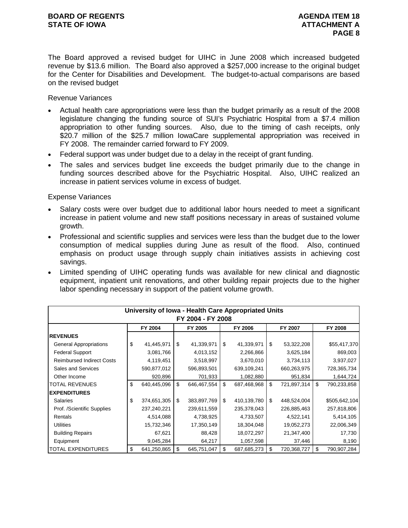The Board approved a revised budget for UIHC in June 2008 which increased budgeted revenue by \$13.6 million. The Board also approved a \$257,000 increase to the original budget for the Center for Disabilities and Development. The budget-to-actual comparisons are based on the revised budget

### Revenue Variances

- Actual health care appropriations were less than the budget primarily as a result of the 2008 legislature changing the funding source of SUI's Psychiatric Hospital from a \$7.4 million appropriation to other funding sources. Also, due to the timing of cash receipts, only \$20.7 million of the \$25.7 million lowaCare supplemental appropriation was received in FY 2008. The remainder carried forward to FY 2009.
- Federal support was under budget due to a delay in the receipt of grant funding.
- The sales and services budget line exceeds the budget primarily due to the change in funding sources described above for the Psychiatric Hospital. Also, UIHC realized an increase in patient services volume in excess of budget.

- Salary costs were over budget due to additional labor hours needed to meet a significant increase in patient volume and new staff positions necessary in areas of sustained volume growth.
- Professional and scientific supplies and services were less than the budget due to the lower consumption of medical supplies during June as result of the flood. Also, continued emphasis on product usage through supply chain initiatives assists in achieving cost savings.
- Limited spending of UIHC operating funds was available for new clinical and diagnostic equipment, inpatient unit renovations, and other building repair projects due to the higher labor spending necessary in support of the patient volume growth.

|                                  |    | University of Iowa - Health Care Appropriated Units |    |             |    |             |    |             |    |               |  |
|----------------------------------|----|-----------------------------------------------------|----|-------------|----|-------------|----|-------------|----|---------------|--|
| FY 2004 - FY 2008                |    |                                                     |    |             |    |             |    |             |    |               |  |
|                                  |    | FY 2004                                             |    | FY 2005     |    | FY 2006     |    | FY 2007     |    | FY 2008       |  |
| <b>IREVENUES</b>                 |    |                                                     |    |             |    |             |    |             |    |               |  |
| <b>General Appropriations</b>    | \$ | 41,445,971                                          | \$ | 41,339,971  | \$ | 41,339,971  | \$ | 53,322,208  |    | \$55,417,370  |  |
| <b>Federal Support</b>           |    | 3,081,766                                           |    | 4,013,152   |    | 2,266,866   |    | 3,625,184   |    | 869,003       |  |
| <b>Reimbursed Indirect Costs</b> |    | 4,119,451                                           |    | 3,518,997   |    | 3,670,010   |    | 3,734,113   |    | 3,937,027     |  |
| Sales and Services               |    | 590,877,012                                         |    | 596,893,501 |    | 639,109,241 |    | 660,263,975 |    | 728,365,734   |  |
| Other Income                     |    | 920,896                                             |    | 701,933     |    | 1,082,880   |    | 951,834     |    | 1,644,724     |  |
| <b>TOTAL REVENUES</b>            | \$ | 640,445,096                                         | \$ | 646,467,554 | \$ | 687,468,968 | \$ | 721,897,314 | \$ | 790,233,858   |  |
| <b>EXPENDITURES</b>              |    |                                                     |    |             |    |             |    |             |    |               |  |
| Salaries                         | \$ | 374,651,305                                         | \$ | 383,897,769 | \$ | 410,139,780 | \$ | 448,524,004 |    | \$505,642,104 |  |
| Prof. /Scientific Supplies       |    | 237,240,221                                         |    | 239,611,559 |    | 235,378,043 |    | 226,885,463 |    | 257,818,806   |  |
| Rentals                          |    | 4,514,088                                           |    | 4,738,925   |    | 4,733,507   |    | 4,522,141   |    | 5,414,105     |  |
| <b>Utilities</b>                 |    | 15,732,346                                          |    | 17,350,149  |    | 18,304,048  |    | 19,052,273  |    | 22,006,349    |  |
| <b>Building Repairs</b>          |    | 67,621                                              |    | 88,428      |    | 18,072,297  |    | 21,347,400  |    | 17,730        |  |
| Equipment                        |    | 9,045,284                                           |    | 64,217      |    | 1,057,598   |    | 37,446      |    | 8,190         |  |
| <b>TOTAL EXPENDITURES</b>        | \$ | 641,250,865                                         | \$ | 645,751,047 | \$ | 687,685,273 | \$ | 720,368,727 | \$ | 790,907,284   |  |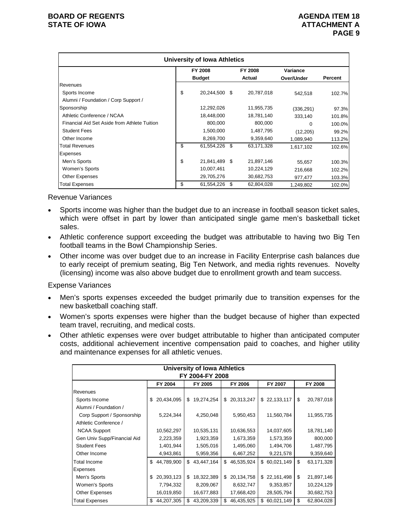| <b>University of Iowa Athletics</b>          |    |                |      |            |            |         |  |  |  |  |
|----------------------------------------------|----|----------------|------|------------|------------|---------|--|--|--|--|
|                                              |    | <b>FY 2008</b> |      | FY 2008    | Variance   |         |  |  |  |  |
|                                              |    | <b>Budget</b>  |      | Actual     | Over/Under | Percent |  |  |  |  |
| Revenues                                     |    |                |      |            |            |         |  |  |  |  |
| Sports Income                                | \$ | 20,244,500 \$  |      | 20,787,018 | 542.518    | 102.7%  |  |  |  |  |
| Alumni / Foundation / Corp Support /         |    |                |      |            |            |         |  |  |  |  |
| Sponsorship                                  |    | 12,292,026     |      | 11,955,735 | (336, 291) | 97.3%   |  |  |  |  |
| Athletic Conference / NCAA                   |    | 18,448,000     |      | 18,781,140 | 333,140    | 101.8%  |  |  |  |  |
| Financial Aid Set Aside from Athlete Tuition |    | 800,000        |      | 800,000    | 0          | 100.0%  |  |  |  |  |
| <b>Student Fees</b>                          |    | 1,500,000      |      | 1,487,795  | (12, 205)  | 99.2%   |  |  |  |  |
| Other Income                                 |    | 8,269,700      |      | 9,359,640  | 1,089,940  | 113.2%  |  |  |  |  |
| <b>Total Revenues</b>                        | \$ | 61,554,226     | - \$ | 63,171,328 | 1,617,102  | 102.6%  |  |  |  |  |
| Expenses                                     |    |                |      |            |            |         |  |  |  |  |
| Men's Sports                                 | \$ | 21,841,489 \$  |      | 21,897,146 | 55,657     | 100.3%  |  |  |  |  |
| Women's Sports                               |    | 10,007,461     |      | 10,224,129 | 216,668    | 102.2%  |  |  |  |  |
| <b>Other Expenses</b>                        |    | 29,705,276     |      | 30,682,753 | 977,477    | 103.3%  |  |  |  |  |
| <b>Total Expenses</b>                        | \$ | 61,554,226 \$  |      | 62,804,028 | 1.249.802  | 102.0%  |  |  |  |  |

Revenue Variances

- Sports income was higher than the budget due to an increase in football season ticket sales, which were offset in part by lower than anticipated single game men's basketball ticket sales.
- Athletic conference support exceeding the budget was attributable to having two Big Ten football teams in the Bowl Championship Series.
- Other income was over budget due to an increase in Facility Enterprise cash balances due to early receipt of premium seating, Big Ten Network, and media rights revenues. Novelty (licensing) income was also above budget due to enrollment growth and team success.

- Men's sports expenses exceeded the budget primarily due to transition expenses for the new basketball coaching staff.
- Women's sports expenses were higher than the budget because of higher than expected team travel, recruiting, and medical costs.
- Other athletic expenses were over budget attributable to higher than anticipated computer costs, additional achievement incentive compensation paid to coaches, and higher utility and maintenance expenses for all athletic venues.

| University of Iowa Athletics<br>FY 2004-FY 2008     |                  |                  |                  |                  |                  |  |  |  |  |  |  |
|-----------------------------------------------------|------------------|------------------|------------------|------------------|------------------|--|--|--|--|--|--|
| FY 2004<br>FY 2005<br>FY 2006<br>FY 2007<br>FY 2008 |                  |                  |                  |                  |                  |  |  |  |  |  |  |
|                                                     |                  |                  |                  |                  |                  |  |  |  |  |  |  |
| Revenues                                            |                  |                  |                  |                  |                  |  |  |  |  |  |  |
| Sports Income                                       | 20,434,095<br>\$ | 19,274,254<br>\$ | 20,313,247<br>\$ | \$22,133,117     | \$<br>20,787,018 |  |  |  |  |  |  |
| Alumni / Foundation /                               |                  |                  |                  |                  |                  |  |  |  |  |  |  |
| Corp Support / Sponsorship                          | 5,224,344        | 4,250,048        | 5,950,453        | 11,560,784       | 11,955,735       |  |  |  |  |  |  |
| Athletic Conference /                               |                  |                  |                  |                  |                  |  |  |  |  |  |  |
| <b>NCAA Support</b>                                 | 10,562,297       | 10,535,131       | 10,636,553       | 14,037,605       | 18,781,140       |  |  |  |  |  |  |
| Gen Univ Supp/Financial Aid                         | 2,223,359        | 1,923,359        | 1,673,359        | 1,573,359        | 800,000          |  |  |  |  |  |  |
| <b>Student Fees</b>                                 | 1,401,944        | 1,505,016        | 1,495,060        | 1,494,706        | 1,487,795        |  |  |  |  |  |  |
| Other Income                                        | 4,943,861        | 5,959,356        | 6,467,252        | 9,221,578        | 9,359,640        |  |  |  |  |  |  |
| <b>Total Income</b>                                 | 44,789,900<br>\$ | 43,447,164<br>\$ | 46,535,924<br>\$ | \$60,021,149     | \$<br>63,171,328 |  |  |  |  |  |  |
| <b>Expenses</b>                                     |                  |                  |                  |                  |                  |  |  |  |  |  |  |
| Men's Sports                                        | 20,393,123<br>\$ | 18,322,389<br>\$ | \$<br>20,134,758 | \$22,161,498     | \$<br>21,897,146 |  |  |  |  |  |  |
| Women's Sports                                      | 7,794,332        | 8,209,067        | 8,632,747        | 9,353,857        | 10,224,129       |  |  |  |  |  |  |
| <b>Other Expenses</b>                               | 16,019,850       | 16,677,883       | 17,668,420       | 28,505,794       | 30,682,753       |  |  |  |  |  |  |
| <b>Total Expenses</b>                               | 44,207,305<br>\$ | 43,209,339<br>\$ | 46,435,925<br>\$ | 60,021,149<br>\$ | \$<br>62,804,028 |  |  |  |  |  |  |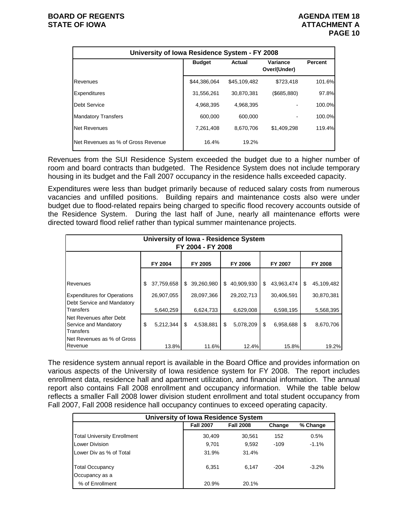| University of Iowa Residence System - FY 2008 |               |               |                          |         |  |  |  |  |  |  |
|-----------------------------------------------|---------------|---------------|--------------------------|---------|--|--|--|--|--|--|
|                                               | <b>Budget</b> | <b>Actual</b> | Variance<br>Over/(Under) | Percent |  |  |  |  |  |  |
| Revenues                                      | \$44.386.064  | \$45,109,482  | \$723.418                | 101.6%  |  |  |  |  |  |  |
| <b>Expenditures</b>                           | 31,556,261    | 30,870,381    | $($ \$685,880)           | 97.8%   |  |  |  |  |  |  |
| Debt Service                                  | 4,968,395     | 4,968,395     |                          | 100.0%  |  |  |  |  |  |  |
| <b>Mandatory Transfers</b>                    | 600,000       | 600,000       |                          | 100.0%  |  |  |  |  |  |  |
| <b>Net Revenues</b>                           | 7,261,408     | 8.670.706     | \$1.409.298              | 119.4%  |  |  |  |  |  |  |
| Net Revenues as % of Gross Revenue            | 16.4%         | 19.2%         |                          |         |  |  |  |  |  |  |

Revenues from the SUI Residence System exceeded the budget due to a higher number of room and board contracts than budgeted. The Residence System does not include temporary housing in its budget and the Fall 2007 occupancy in the residence halls exceeded capacity.

Expenditures were less than budget primarily because of reduced salary costs from numerous vacancies and unfilled positions. Building repairs and maintenance costs also were under budget due to flood-related repairs being charged to specific flood recovery accounts outside of the Residence System. During the last half of June, nearly all maintenance efforts were directed toward flood relief rather than typical summer maintenance projects.

|                                                                      | University of Iowa - Residence System | FY 2004 - FY 2008 |                  |                  |                  |
|----------------------------------------------------------------------|---------------------------------------|-------------------|------------------|------------------|------------------|
|                                                                      | FY 2004                               | FY 2005           | FY 2006          | FY 2007          | FY 2008          |
|                                                                      |                                       |                   |                  |                  |                  |
| <b>Revenues</b>                                                      | \$<br>37,759,658                      | \$<br>39,260,980  | \$<br>40,909,930 | \$<br>43,963,474 | \$<br>45,109,482 |
| <b>Expenditures for Operations</b><br>Debt Service and Mandatory     | 26,907,055                            | 28,097,366        | 29,202,713       | 30,406,591       | 30,870,381       |
| Transfers                                                            | 5,640,259                             | 6,624,733         | 6,629,008        | 6,598,195        | 5,568,395        |
| Net Revenues after Debt<br>Service and Mandatory<br><b>Transfers</b> | \$<br>5,212,344                       | \$<br>4,538,881   | \$<br>5,078,209  | \$<br>6,958,688  | \$<br>8,670,706  |
| Net Revenues as % of Gross<br>Revenue                                | 13.8%                                 | 11.6%             | 12.4%            | 15.8%            | 19.2%            |

The residence system annual report is available in the Board Office and provides information on various aspects of the University of Iowa residence system for FY 2008. The report includes enrollment data, residence hall and apartment utilization, and financial information. The annual report also contains Fall 2008 enrollment and occupancy information. While the table below reflects a smaller Fall 2008 lower division student enrollment and total student occupancy from Fall 2007, Fall 2008 residence hall occupancy continues to exceed operating capacity.

|                                    | <b>University of Iowa Residence System</b> |                  |        |          |  |  |  |  |  |  |  |  |  |
|------------------------------------|--------------------------------------------|------------------|--------|----------|--|--|--|--|--|--|--|--|--|
|                                    | <b>Fall 2007</b>                           | <b>Fall 2008</b> | Change | % Change |  |  |  |  |  |  |  |  |  |
| <b>Total University Enrollment</b> | 30,409                                     | 30,561           | 152    | 0.5%     |  |  |  |  |  |  |  |  |  |
| Lower Division                     | 9.701                                      | 9.592            | -109   | $-1.1%$  |  |  |  |  |  |  |  |  |  |
| Lower Div as % of Total            | 31.9%                                      | 31.4%            |        |          |  |  |  |  |  |  |  |  |  |
| <b>Total Occupancy</b>             | 6.351                                      | 6.147            | $-204$ | $-3.2\%$ |  |  |  |  |  |  |  |  |  |
| Occupancy as a                     |                                            |                  |        |          |  |  |  |  |  |  |  |  |  |
| % of Enrollment                    | 20.9%                                      | 20.1%            |        |          |  |  |  |  |  |  |  |  |  |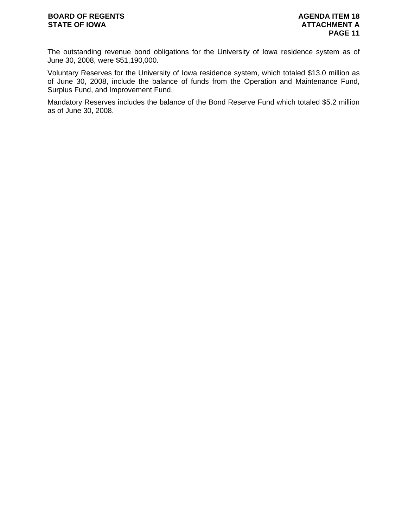## **BOARD OF REGENTS AGENUS AGENDA ITEM 18 STATE OF IOWA ATTACHMENT A**

The outstanding revenue bond obligations for the University of Iowa residence system as of June 30, 2008, were \$51,190,000.

Voluntary Reserves for the University of Iowa residence system, which totaled \$13.0 million as of June 30, 2008, include the balance of funds from the Operation and Maintenance Fund, Surplus Fund, and Improvement Fund.

Mandatory Reserves includes the balance of the Bond Reserve Fund which totaled \$5.2 million as of June 30, 2008.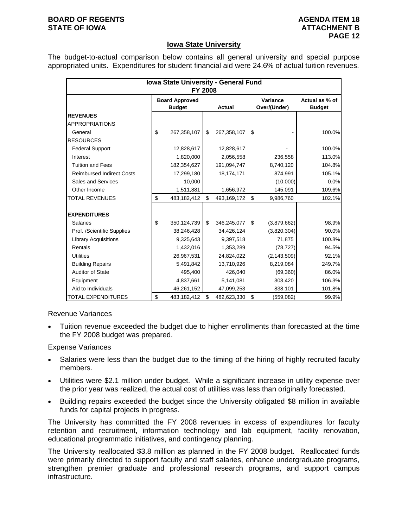#### **BOARD OF REGENTS AGENUS AGENDA ITEM 18 STATE OF IOWA** AND **ATTACHMENT B**

## **Iowa State University**

The budget-to-actual comparison below contains all general university and special purpose appropriated units. Expenditures for student financial aid were 24.6% of actual tuition revenues.

|                                  | Iowa State University - General Fund<br><b>FY 2008</b> |                   |                          |                                 |
|----------------------------------|--------------------------------------------------------|-------------------|--------------------------|---------------------------------|
|                                  | <b>Board Approved</b><br><b>Budget</b>                 | <b>Actual</b>     | Variance<br>Over/(Under) | Actual as % of<br><b>Budget</b> |
| <b>REVENUES</b>                  |                                                        |                   |                          |                                 |
| <b>APPROPRIATIONS</b>            |                                                        |                   |                          |                                 |
| General                          | \$<br>267,358,107                                      | \$<br>267,358,107 | \$                       | 100.0%                          |
| <b>RESOURCES</b>                 |                                                        |                   |                          |                                 |
| <b>Federal Support</b>           | 12,828,617                                             | 12,828,617        |                          | 100.0%                          |
| Interest                         | 1,820,000                                              | 2,056,558         | 236,558                  | 113.0%                          |
| <b>Tuition and Fees</b>          | 182,354,627                                            | 191,094,747       | 8,740,120                | 104.8%                          |
| <b>Reimbursed Indirect Costs</b> | 17,299,180                                             | 18,174,171        | 874,991                  | 105.1%                          |
| Sales and Services               | 10,000                                                 |                   | (10,000)                 | 0.0%                            |
| Other Income                     | 1,511,881                                              | 1,656,972         | 145,091                  | 109.6%                          |
| <b>TOTAL REVENUES</b>            | \$<br>483,182,412                                      | \$<br>493,169,172 | \$<br>9,986,760          | 102.1%                          |
| <b>EXPENDITURES</b>              |                                                        |                   |                          |                                 |
| <b>Salaries</b>                  | \$<br>350,124,739                                      | \$<br>346,245,077 | \$<br>(3,879,662)        | 98.9%                           |
| Prof. /Scientific Supplies       | 38,246,428                                             | 34,426,124        | (3,820,304)              | 90.0%                           |
| <b>Library Acquisitions</b>      | 9,325,643                                              | 9,397,518         | 71,875                   | 100.8%                          |
| Rentals                          | 1,432,016                                              | 1,353,289         | (78, 727)                | 94.5%                           |
| <b>Utilities</b>                 | 26,967,531                                             | 24,824,022        | (2, 143, 509)            | 92.1%                           |
| <b>Building Repairs</b>          | 5,491,842                                              | 13,710,926        | 8,219,084                | 249.7%                          |
| <b>Auditor of State</b>          | 495,400                                                | 426,040           | (69, 360)                | 86.0%                           |
| Equipment                        | 4,837,661                                              | 5,141,081         | 303,420                  | 106.3%                          |
| Aid to Individuals               | 46,261,152                                             | 47,099,253        | 838,101                  | 101.8%                          |
| <b>TOTAL EXPENDITURES</b>        | \$<br>483,182,412                                      | \$<br>482,623,330 | \$<br>(559, 082)         | 99.9%                           |

Revenue Variances

• Tuition revenue exceeded the budget due to higher enrollments than forecasted at the time the FY 2008 budget was prepared.

Expense Variances

- Salaries were less than the budget due to the timing of the hiring of highly recruited faculty members.
- Utilities were \$2.1 million under budget. While a significant increase in utility expense over the prior year was realized, the actual cost of utilities was less than originally forecasted.
- Building repairs exceeded the budget since the University obligated \$8 million in available funds for capital projects in progress.

The University has committed the FY 2008 revenues in excess of expenditures for faculty retention and recruitment, information technology and lab equipment, facility renovation, educational programmatic initiatives, and contingency planning.

The University reallocated \$3.8 million as planned in the FY 2008 budget. Reallocated funds were primarily directed to support faculty and staff salaries, enhance undergraduate programs, strengthen premier graduate and professional research programs, and support campus infrastructure.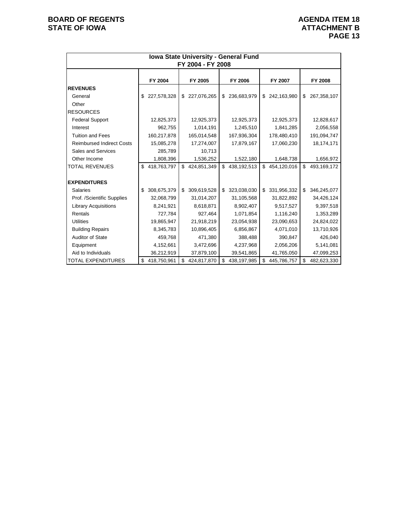|                                  | Iowa State University - General Fund<br>FY 2004 - FY 2008 |             |    |                |    |             |    |               |    |             |  |  |  |
|----------------------------------|-----------------------------------------------------------|-------------|----|----------------|----|-------------|----|---------------|----|-------------|--|--|--|
|                                  |                                                           |             |    |                |    |             |    |               |    |             |  |  |  |
|                                  |                                                           | FY 2004     |    | FY 2005        |    | FY 2006     |    | FY 2007       |    | FY 2008     |  |  |  |
| <b>REVENUES</b>                  |                                                           |             |    |                |    |             |    |               |    |             |  |  |  |
| General                          | \$                                                        | 227,578,328 |    | \$ 227,076,265 | \$ | 236,683,979 |    | \$242,163,980 | \$ | 267,358,107 |  |  |  |
| Other                            |                                                           |             |    |                |    |             |    |               |    |             |  |  |  |
| <b>RESOURCES</b>                 |                                                           |             |    |                |    |             |    |               |    |             |  |  |  |
| <b>Federal Support</b>           |                                                           | 12,825,373  |    | 12,925,373     |    | 12,925,373  |    | 12,925,373    |    | 12,828,617  |  |  |  |
| Interest                         |                                                           | 962,755     |    | 1,014,191      |    | 1,245,510   |    | 1,841,285     |    | 2,056,558   |  |  |  |
| <b>Tuition and Fees</b>          |                                                           | 160,217,878 |    | 165,014,548    |    | 167,936,304 |    | 178,480,410   |    | 191,094,747 |  |  |  |
| <b>Reimbursed Indirect Costs</b> |                                                           | 15,085,278  |    | 17,274,007     |    | 17,879,167  |    | 17,060,230    |    | 18,174,171  |  |  |  |
| Sales and Services               |                                                           | 285,789     |    | 10,713         |    |             |    |               |    |             |  |  |  |
| Other Income                     |                                                           | 1,808,396   |    | 1,536,252      |    | 1,522,180   |    | 1,648,738     |    | 1,656,972   |  |  |  |
| <b>TOTAL REVENUES</b>            | \$                                                        | 418,763,797 | \$ | 424,851,349    | \$ | 438,192,513 | \$ | 454,120,016   | \$ | 493,169,172 |  |  |  |
|                                  |                                                           |             |    |                |    |             |    |               |    |             |  |  |  |
| <b>EXPENDITURES</b>              |                                                           |             |    |                |    |             |    |               |    |             |  |  |  |
| <b>Salaries</b>                  | \$                                                        | 308,675,379 | \$ | 309,619,528    | \$ | 323,038,030 | \$ | 331,956,332   | \$ | 346,245,077 |  |  |  |
| Prof. /Scientific Supplies       |                                                           | 32,068,799  |    | 31,014,207     |    | 31,105,568  |    | 31,822,892    |    | 34,426,124  |  |  |  |
| <b>Library Acquisitions</b>      |                                                           | 8,241,921   |    | 8,618,871      |    | 8,902,407   |    | 9,517,527     |    | 9,397,518   |  |  |  |
| Rentals                          |                                                           | 727,784     |    | 927,464        |    | 1,071,854   |    | 1,116,240     |    | 1,353,289   |  |  |  |
| <b>Utilities</b>                 |                                                           | 19,865,947  |    | 21,918,219     |    | 23,054,938  |    | 23,090,653    |    | 24,824,022  |  |  |  |
| <b>Building Repairs</b>          |                                                           | 8,345,783   |    | 10,896,405     |    | 6,856,867   |    | 4,071,010     |    | 13,710,926  |  |  |  |
| Auditor of State                 |                                                           | 459,768     |    | 471,380        |    | 388,488     |    | 390,847       |    | 426,040     |  |  |  |
| Equipment                        |                                                           | 4,152,661   |    | 3,472,696      |    | 4,237,968   |    | 2,056,206     |    | 5,141,081   |  |  |  |
| Aid to Individuals               |                                                           | 36,212,919  |    | 37,879,100     |    | 39,541,865  |    | 41,765,050    |    | 47,099,253  |  |  |  |
| <b>TOTAL EXPENDITURES</b>        | \$                                                        | 418,750,961 | \$ | 424,817,870    | \$ | 438,197,985 | \$ | 445,786,757   | \$ | 482,623,330 |  |  |  |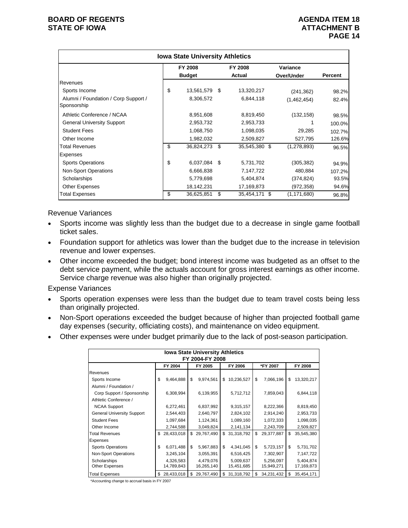|                                                     | <b>Iowa State University Athletics</b> |      |               |               |         |
|-----------------------------------------------------|----------------------------------------|------|---------------|---------------|---------|
|                                                     | FY 2008                                |      | FY 2008       | Variance      |         |
|                                                     | <b>Budget</b>                          |      | Actual        | Over/Under    | Percent |
| Revenues                                            |                                        |      |               |               |         |
| Sports Income                                       | \$<br>13,561,579                       | - \$ | 13,320,217    | (241, 362)    | 98.2%   |
| Alumni / Foundation / Corp Support /<br>Sponsorship | 8,306,572                              |      | 6,844,118     | (1,462,454)   | 82.4%   |
| Athletic Conference / NCAA                          | 8,951,608                              |      | 8,819,450     | (132, 158)    | 98.5%   |
| <b>General University Support</b>                   | 2,953,732                              |      | 2,953,733     |               | 100.0%  |
| <b>Student Fees</b>                                 | 1,068,750                              |      | 1,098,035     | 29,285        | 102.7%  |
| Other Income                                        | 1,982,032                              |      | 2,509,827     | 527,795       | 126.6%  |
| <b>Total Revenues</b>                               | \$<br>36,824,273                       | \$   | 35,545,380 \$ | (1, 278, 893) | 96.5%   |
| Expenses                                            |                                        |      |               |               |         |
| <b>Sports Operations</b>                            | \$<br>6,037,084                        | \$   | 5,731,702     | (305, 382)    | 94.9%   |
| <b>Non-Sport Operations</b>                         | 6,666,838                              |      | 7,147,722     | 480,884       | 107.2%  |
| Scholarships                                        | 5,779,698                              |      | 5,404,874     | (374,824)     | 93.5%   |
| <b>Other Expenses</b>                               | 18,142,231                             |      | 17,169,873    | (972,358)     | 94.6%   |
| Total Expenses                                      | \$<br>36,625,851                       | \$   | 35,454,171 \$ | (1, 171, 680) | 96.8%   |

Revenue Variances

- Sports income was slightly less than the budget due to a decrease in single game football ticket sales.
- Foundation support for athletics was lower than the budget due to the increase in television revenue and lower expenses.
- Other income exceeded the budget; bond interest income was budgeted as an offset to the debt service payment, while the actuals account for gross interest earnings as other income. Service charge revenue was also higher than originally projected.

Expense Variances

- Sports operation expenses were less than the budget due to team travel costs being less than originally projected.
- Non-Sport operations exceeded the budget because of higher than projected football game day expenses (security, officiating costs), and maintenance on video equipment.
- Other expenses were under budget primarily due to the lack of post-season participation.

|                                   | <b>Iowa State University Athletics</b> |            |    |            |    |            |    |            |    |            |  |  |  |
|-----------------------------------|----------------------------------------|------------|----|------------|----|------------|----|------------|----|------------|--|--|--|
| FY 2004-FY 2008                   |                                        |            |    |            |    |            |    |            |    |            |  |  |  |
|                                   |                                        | FY 2004    |    | FY 2005    |    | FY 2006    |    | *FY 2007   |    | FY 2008    |  |  |  |
| Revenues                          |                                        |            |    |            |    |            |    |            |    |            |  |  |  |
| Sports Income                     | \$                                     | 9,464,888  | \$ | 9,974,561  | \$ | 10,236,527 | \$ | 7,066,196  | \$ | 13,320,217 |  |  |  |
| Alumni / Foundation /             |                                        |            |    |            |    |            |    |            |    |            |  |  |  |
| Corp Support / Sponsorship        |                                        | 6,308,994  |    | 6,139,955  |    | 5,712,712  |    | 7,859,043  |    | 6,844,118  |  |  |  |
| Athletic Conference /             |                                        |            |    |            |    |            |    |            |    |            |  |  |  |
| <b>NCAA Support</b>               |                                        | 6,272,461  |    | 6,837,992  |    | 9,315,157  |    | 8,222,366  |    | 8,819,450  |  |  |  |
| <b>General University Support</b> |                                        | 2,544,403  |    | 2,640,797  |    | 2,824,102  |    | 2,914,240  |    | 2,953,733  |  |  |  |
| <b>Student Fees</b>               |                                        | 1,097,684  |    | 1,124,361  |    | 1,089,160  |    | 1,072,333  |    | 1,098,035  |  |  |  |
| Other Income                      |                                        | 2,744,588  |    | 3,049,824  |    | 2,141,134  |    | 2,243,709  |    | 2,509,827  |  |  |  |
| <b>Total Revenues</b>             | \$                                     | 28,433,018 | \$ | 29,767,490 | \$ | 31,318,792 | \$ | 29,377,887 | \$ | 35,545,380 |  |  |  |
| Expenses                          |                                        |            |    |            |    |            |    |            |    |            |  |  |  |
| <b>Sports Operations</b>          | \$                                     | 6,071,488  | \$ | 5,967,883  | \$ | 4,341,045  | \$ | 5,723,157  | \$ | 5,731,702  |  |  |  |
| Non-Sport Operations              |                                        | 3,245,104  |    | 3,055,391  |    | 6,516,425  |    | 7,302,907  |    | 7,147,722  |  |  |  |
| Scholarships                      |                                        | 4,326,583  |    | 4,479,076  |    | 5,009,637  |    | 5,256,097  |    | 5,404,874  |  |  |  |
| <b>Other Expenses</b>             |                                        | 14,789,843 |    | 16,265,140 |    | 15,451,685 |    | 15,949,271 |    | 17,169,873 |  |  |  |
| <b>Total Expenses</b>             | \$                                     | 28,433,018 | \$ | 29,767,490 | \$ | 31,318,792 | \$ | 34,231,432 | \$ | 35,454,171 |  |  |  |

\*Accounting change to accrual basis in FY 2007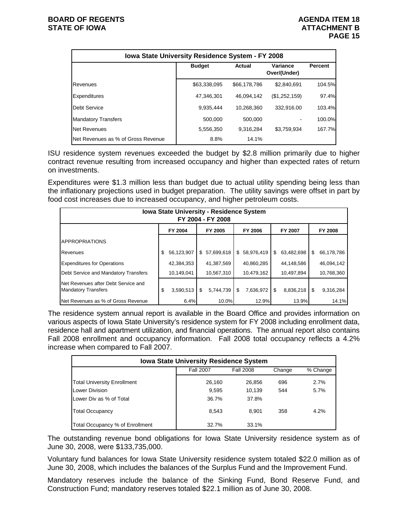|                                    | Iowa State University Residence System - FY 2008 |              |                          |                |  |  |  |  |  |  |  |  |  |
|------------------------------------|--------------------------------------------------|--------------|--------------------------|----------------|--|--|--|--|--|--|--|--|--|
|                                    | <b>Budget</b>                                    | Actual       | Variance<br>Over/(Under) | <b>Percent</b> |  |  |  |  |  |  |  |  |  |
| Revenues                           | \$63,338,095                                     | \$66,178,786 | \$2,840,691              | 104.5%         |  |  |  |  |  |  |  |  |  |
| Expenditures                       | 47,346,301                                       | 46.094.142   | (\$1,252,159)            | 97.4%          |  |  |  |  |  |  |  |  |  |
| Debt Service                       | 9,935,444                                        | 10,268,360   | 332,916.00               | 103.4%         |  |  |  |  |  |  |  |  |  |
| <b>Mandatory Transfers</b>         | 500,000                                          | 500,000      |                          | 100.0%         |  |  |  |  |  |  |  |  |  |
| <b>Net Revenues</b>                | 5,556,350                                        | 9.316.284    | \$3.759.934              | 167.7%         |  |  |  |  |  |  |  |  |  |
| Net Revenues as % of Gross Revenue | 8.8%                                             | 14.1%        |                          |                |  |  |  |  |  |  |  |  |  |

ISU residence system revenues exceeded the budget by \$2.8 million primarily due to higher contract revenue resulting from increased occupancy and higher than expected rates of return on investments.

Expenditures were \$1.3 million less than budget due to actual utility spending being less than the inflationary projections used in budget preparation. The utility savings were offset in part by food cost increases due to increased occupancy, and higher petroleum costs.

|                                                                   | <b>Iowa State University - Residence System</b><br>FY 2004 - FY 2008 |            |     |            |    |              |    |            |    |            |  |  |
|-------------------------------------------------------------------|----------------------------------------------------------------------|------------|-----|------------|----|--------------|----|------------|----|------------|--|--|
|                                                                   |                                                                      | FY 2004    |     | FY 2005    |    | FY 2006      |    | FY 2007    |    | FY 2008    |  |  |
| <b>APPROPRIATIONS</b>                                             |                                                                      |            |     |            |    |              |    |            |    |            |  |  |
| Revenues                                                          | \$                                                                   | 56,123,907 | \$  | 57,699,618 |    | \$58,976,419 | \$ | 63,482,698 | S  | 66,178,786 |  |  |
| <b>Expenditures for Operations</b>                                |                                                                      | 42.384.353 |     | 41,387,569 |    | 40,860,285   |    | 44,148,586 |    | 46,094,142 |  |  |
| Debt Service and Mandatory Transfers                              |                                                                      | 10,149,041 |     | 10,567,310 |    | 10,479,162   |    | 10,497,894 |    | 10,768,360 |  |  |
| Net Revenues after Debt Service and<br><b>Mandatory Transfers</b> | S                                                                    | 3,590,513  | -\$ | 5,744,739  | \$ | 7,636,972    | \$ | 8,836,218  | \$ | 9,316,284  |  |  |
| Net Revenues as % of Gross Revenue                                |                                                                      | 6.4%       |     | 10.0%      |    | 12.9%        |    | 13.9%      |    | 14.1%      |  |  |

The residence system annual report is available in the Board Office and provides information on various aspects of Iowa State University's residence system for FY 2008 including enrollment data, residence hall and apartment utilization, and financial operations. The annual report also contains Fall 2008 enrollment and occupancy information. Fall 2008 total occupancy reflects a 4.2% increase when compared to Fall 2007.

| <b>Iowa State University Residence System</b> |                  |                  |        |          |  |  |  |  |  |  |  |  |
|-----------------------------------------------|------------------|------------------|--------|----------|--|--|--|--|--|--|--|--|
|                                               | <b>Fall 2007</b> | <b>Fall 2008</b> | Change | % Change |  |  |  |  |  |  |  |  |
| <b>Total University Enrollment</b>            | 26.160           | 26,856           | 696    | 2.7%     |  |  |  |  |  |  |  |  |
| Lower Division                                | 9,595            | 10.139           | 544    | 5.7%     |  |  |  |  |  |  |  |  |
| Lower Div as % of Total                       | 36.7%            | 37.8%            |        |          |  |  |  |  |  |  |  |  |
| <b>Total Occupancy</b>                        | 8.543            | 8.901            | 358    | 4.2%     |  |  |  |  |  |  |  |  |
| Total Occupancy % of Enrollment               | 32.7%            | 33.1%            |        |          |  |  |  |  |  |  |  |  |

The outstanding revenue bond obligations for Iowa State University residence system as of June 30, 2008, were \$133,735,000.

Voluntary fund balances for Iowa State University residence system totaled \$22.0 million as of June 30, 2008, which includes the balances of the Surplus Fund and the Improvement Fund.

Mandatory reserves include the balance of the Sinking Fund, Bond Reserve Fund, and Construction Fund; mandatory reserves totaled \$22.1 million as of June 30, 2008.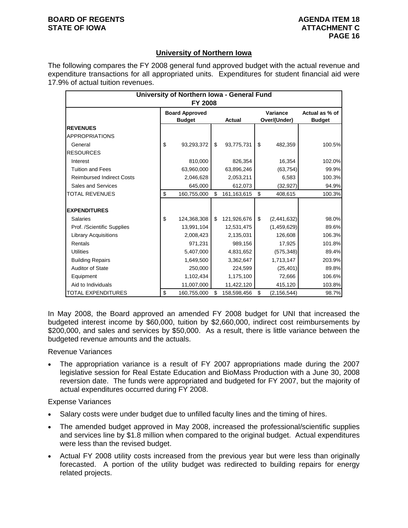# **University of Northern Iowa**

The following compares the FY 2008 general fund approved budget with the actual revenue and expenditure transactions for all appropriated units. Expenditures for student financial aid were 17.9% of actual tuition revenues.

|                                  | University of Northern Iowa - General Fund<br>FY 2008 |    |               |                          |                                 |
|----------------------------------|-------------------------------------------------------|----|---------------|--------------------------|---------------------------------|
|                                  | <b>Board Approved</b><br><b>Budget</b>                |    | <b>Actual</b> | Variance<br>Over/(Under) | Actual as % of<br><b>Budget</b> |
| <b>REVENUES</b>                  |                                                       |    |               |                          |                                 |
| <b>APPROPRIATIONS</b>            |                                                       |    |               |                          |                                 |
| General                          | \$<br>93,293,372                                      | \$ | 93,775,731    | \$<br>482,359            | 100.5%                          |
| <b>RESOURCES</b>                 |                                                       |    |               |                          |                                 |
| Interest                         | 810,000                                               |    | 826,354       | 16,354                   | 102.0%                          |
| <b>Tuition and Fees</b>          | 63,960,000                                            |    | 63,896,246    | (63, 754)                | 99.9%                           |
| <b>Reimbursed Indirect Costs</b> | 2,046,628                                             |    | 2,053,211     | 6,583                    | 100.3%                          |
| Sales and Services               | 645,000                                               |    | 612,073       | (32, 927)                | 94.9%                           |
| TOTAL REVENUES                   | \$<br>160,755,000                                     | \$ | 161, 163, 615 | \$<br>408,615            | 100.3%                          |
| <b>EXPENDITURES</b>              |                                                       |    |               |                          |                                 |
| Salaries                         | \$<br>124,368,308                                     | \$ | 121,926,676   | \$<br>(2,441,632)        | 98.0%                           |
| Prof. /Scientific Supplies       | 13,991,104                                            |    | 12,531,475    | (1,459,629)              | 89.6%                           |
| <b>Library Acquisitions</b>      | 2,008,423                                             |    | 2,135,031     | 126,608                  | 106.3%                          |
| Rentals                          | 971,231                                               |    | 989,156       | 17,925                   | 101.8%                          |
| <b>Utilities</b>                 | 5,407,000                                             |    | 4,831,652     | (575, 348)               | 89.4%                           |
| <b>Building Repairs</b>          | 1,649,500                                             |    | 3,362,647     | 1,713,147                | 203.9%                          |
| <b>Auditor of State</b>          | 250,000                                               |    | 224,599       | (25, 401)                | 89.8%                           |
| Equipment                        | 1,102,434                                             |    | 1,175,100     | 72,666                   | 106.6%                          |
| Aid to Individuals               | 11,007,000                                            |    | 11,422,120    | 415,120                  | 103.8%                          |
| <b>TOTAL EXPENDITURES</b>        | \$<br>160,755,000                                     | S  | 158,598,456   | \$<br>(2, 156, 544)      | 98.7%                           |

In May 2008, the Board approved an amended FY 2008 budget for UNI that increased the budgeted interest income by \$60,000, tuition by \$2,660,000, indirect cost reimbursements by \$200,000, and sales and services by \$50,000. As a result, there is little variance between the budgeted revenue amounts and the actuals.

Revenue Variances

• The appropriation variance is a result of FY 2007 appropriations made during the 2007 legislative session for Real Estate Education and BioMass Production with a June 30, 2008 reversion date. The funds were appropriated and budgeted for FY 2007, but the majority of actual expenditures occurred during FY 2008.

- Salary costs were under budget due to unfilled faculty lines and the timing of hires.
- The amended budget approved in May 2008, increased the professional/scientific supplies and services line by \$1.8 million when compared to the original budget. Actual expenditures were less than the revised budget.
- Actual FY 2008 utility costs increased from the previous year but were less than originally forecasted. A portion of the utility budget was redirected to building repairs for energy related projects.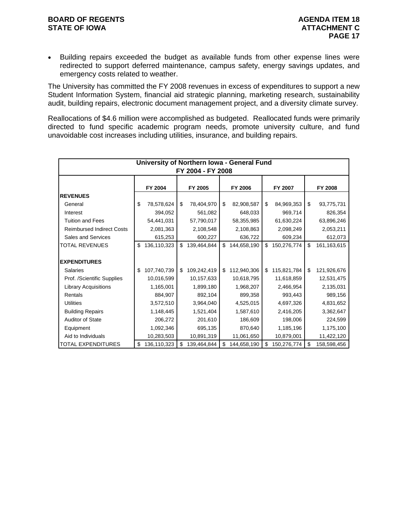## **BOARD OF REGENTS AGENUS AGENDA ITEM 18 STATE OF IOWA ATTACHMENT C**

• Building repairs exceeded the budget as available funds from other expense lines were redirected to support deferred maintenance, campus safety, energy savings updates, and emergency costs related to weather.

The University has committed the FY 2008 revenues in excess of expenditures to support a new Student Information System, financial aid strategic planning, marketing research, sustainability audit, building repairs, electronic document management project, and a diversity climate survey.

Reallocations of \$4.6 million were accomplished as budgeted. Reallocated funds were primarily directed to fund specific academic program needs, promote university culture, and fund unavoidable cost increases including utilities, insurance, and building repairs.

|                                  |                                                     |             |    | University of Northern Iowa - General Fund<br>FY 2004 - FY 2008 |    |             |    |             |    |               |  |  |  |  |
|----------------------------------|-----------------------------------------------------|-------------|----|-----------------------------------------------------------------|----|-------------|----|-------------|----|---------------|--|--|--|--|
|                                  | FY 2005<br>FY 2006<br>FY 2004<br>FY 2007<br>FY 2008 |             |    |                                                                 |    |             |    |             |    |               |  |  |  |  |
| <b>REVENUES</b>                  |                                                     |             |    |                                                                 |    |             |    |             |    |               |  |  |  |  |
| General                          | \$                                                  | 78,578,624  | \$ | 78,404,970                                                      | \$ | 82,908,587  | \$ | 84,969,353  | \$ | 93,775,731    |  |  |  |  |
| Interest                         |                                                     | 394,052     |    | 561,082                                                         |    | 648,033     |    | 969,714     |    | 826,354       |  |  |  |  |
| <b>Tuition and Fees</b>          |                                                     | 54,441,031  |    | 57,790,017                                                      |    | 58,355,985  |    | 61,630,224  |    | 63,896,246    |  |  |  |  |
| <b>Reimbursed Indirect Costs</b> |                                                     | 2,081,363   |    | 2,108,548                                                       |    | 2,108,863   |    | 2,098,249   |    | 2,053,211     |  |  |  |  |
| Sales and Services               |                                                     | 615,253     |    | 600,227                                                         |    | 636,722     |    | 609,234     |    | 612,073       |  |  |  |  |
| <b>TOTAL REVENUES</b>            | \$                                                  | 136,110,323 | \$ | 139,464,844                                                     | \$ | 144,658,190 | \$ | 150,276,774 | \$ | 161, 163, 615 |  |  |  |  |
|                                  |                                                     |             |    |                                                                 |    |             |    |             |    |               |  |  |  |  |
| <b>EXPENDITURES</b>              |                                                     |             |    |                                                                 |    |             |    |             |    |               |  |  |  |  |
| <b>Salaries</b>                  | \$                                                  | 107,740,739 | \$ | 109,242,419                                                     | \$ | 112,940,306 | \$ | 115,821,784 | \$ | 121,926,676   |  |  |  |  |
| Prof. /Scientific Supplies       |                                                     | 10,016,599  |    | 10,157,633                                                      |    | 10,618,795  |    | 11,618,859  |    | 12,531,475    |  |  |  |  |
| <b>Library Acquisitions</b>      |                                                     | 1,165,001   |    | 1,899,180                                                       |    | 1,968,207   |    | 2,466,954   |    | 2,135,031     |  |  |  |  |
| Rentals                          |                                                     | 884,907     |    | 892,104                                                         |    | 899,358     |    | 993,443     |    | 989,156       |  |  |  |  |
| <b>Utilities</b>                 |                                                     | 3,572,510   |    | 3,964,040                                                       |    | 4,525,015   |    | 4,697,326   |    | 4,831,652     |  |  |  |  |
| <b>Building Repairs</b>          |                                                     | 1,148,445   |    | 1,521,404                                                       |    | 1,587,610   |    | 2,416,205   |    | 3,362,647     |  |  |  |  |
| <b>Auditor of State</b>          |                                                     | 206,272     |    | 201,610                                                         |    | 186,609     |    | 198,006     |    | 224,599       |  |  |  |  |
| Equipment                        |                                                     | 1,092,346   |    | 695,135                                                         |    | 870,640     |    | 1,185,196   |    | 1,175,100     |  |  |  |  |
| Aid to Individuals               |                                                     | 10,283,503  |    | 10,891,319                                                      |    | 11,061,650  |    | 10,879,001  |    | 11,422,120    |  |  |  |  |
| <b>TOTAL EXPENDITURES</b>        | \$                                                  | 136,110,323 |    | 139,464,844                                                     | \$ | 144,658,190 | \$ | 150,276,774 | \$ | 158,598,456   |  |  |  |  |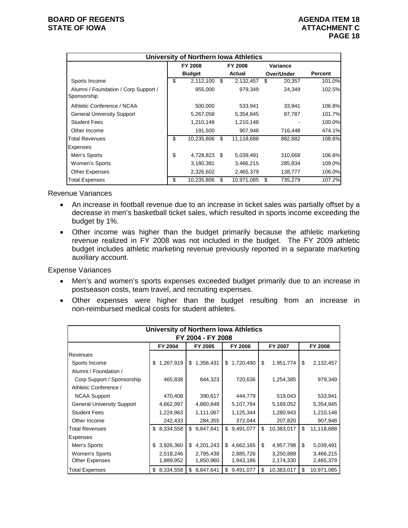|                                                     | <b>University of Northern Iowa Athletics</b> |                  |    |            |                |
|-----------------------------------------------------|----------------------------------------------|------------------|----|------------|----------------|
|                                                     | FY 2008                                      | FY 2008          |    | Variance   |                |
|                                                     | <b>Budget</b>                                | Actual           |    | Over/Under | <b>Percent</b> |
| Sports Income                                       | \$<br>2,112,100                              | \$<br>2,132,457  | S  | 20,357     | 101.0%         |
| Alumni / Foundation / Corp Support /<br>Sponsorship | 955,000                                      | 979,349          |    | 24,349     | 102.5%         |
| Athletic Conference / NCAA                          | 500,000                                      | 533,941          |    | 33,941     | 106.8%         |
| <b>General University Support</b>                   | 5,267,058                                    | 5,354,845        |    | 87,787     | 101.7%         |
| <b>Student Fees</b>                                 | 1,210,148                                    | 1,210,148        |    |            | 100.0%         |
| Other Income                                        | 191,500                                      | 907,948          |    | 716,448    | 474.1%         |
| Total Revenues                                      | \$<br>10,235,806                             | \$<br>11,118,688 |    | 882,882    | 108.6%         |
| Expenses                                            |                                              |                  |    |            |                |
| Men's Sports                                        | \$<br>4,728,823                              | \$<br>5,039,491  |    | 310,668    | 106.6%         |
| Women's Sports                                      | 3,180,381                                    | 3,466,215        |    | 285,834    | 109.0%         |
| <b>Other Expenses</b>                               | 2,326,602                                    | 2,465,379        |    | 138,777    | 106.0%         |
| <b>Total Expenses</b>                               | \$<br>10,235,806                             | \$<br>10,971,085 | \$ | 735,279    | 107.2%         |

Revenue Variances

- An increase in football revenue due to an increase in ticket sales was partially offset by a decrease in men's basketball ticket sales, which resulted in sports income exceeding the budget by 1%.
- Other income was higher than the budget primarily because the athletic marketing revenue realized in FY 2008 was not included in the budget. The FY 2009 athletic budget includes athletic marketing revenue previously reported in a separate marketing auxiliary account.

- Men's and women's sports expenses exceeded budget primarily due to an increase in postseason costs, team travel, and recruiting expenses.
- Other expenses were higher than the budget resulting from an increase in non-reimbursed medical costs for student athletes.

| University of Northern Iowa Athletics |                                                     |                 |                 |                  |                  |  |  |  |  |  |  |  |
|---------------------------------------|-----------------------------------------------------|-----------------|-----------------|------------------|------------------|--|--|--|--|--|--|--|
| FY 2004 - FY 2008                     |                                                     |                 |                 |                  |                  |  |  |  |  |  |  |  |
|                                       | FY 2004<br>FY 2005<br>FY 2006<br>FY 2007<br>FY 2008 |                 |                 |                  |                  |  |  |  |  |  |  |  |
| Revenues                              |                                                     |                 |                 |                  |                  |  |  |  |  |  |  |  |
| Sports Income                         | 1,267,919<br>\$                                     | 1,356,431<br>\$ | 1,720,490<br>\$ | \$<br>1,951,774  | \$<br>2,132,457  |  |  |  |  |  |  |  |
| Alumni / Foundation /                 |                                                     |                 |                 |                  |                  |  |  |  |  |  |  |  |
| Corp Support / Sponsorship            | 465,838                                             | 844,323         | 720,636         | 1,254,385        | 979,349          |  |  |  |  |  |  |  |
| Athletic Conference /                 |                                                     |                 |                 |                  |                  |  |  |  |  |  |  |  |
| <b>NCAA Support</b>                   | 470,408                                             | 390,617         | 444,779         | 519,043          | 533,941          |  |  |  |  |  |  |  |
| <b>General University Support</b>     | 4,662,997                                           | 4,860,848       | 5,107,784       | 5,169,052        | 5,354,845        |  |  |  |  |  |  |  |
| <b>Student Fees</b>                   | 1,224,963                                           | 1,111,067       | 1,125,344       | 1,280,943        | 1,210,148        |  |  |  |  |  |  |  |
| Other Income                          | 242,433                                             | 284,355         | 372,044         | 207,820          | 907,948          |  |  |  |  |  |  |  |
| Total Revenues                        | 8,334,558<br>\$                                     | 8,847,641<br>\$ | \$<br>9,491,077 | \$<br>10,383,017 | \$<br>11,118,688 |  |  |  |  |  |  |  |
| Expenses                              |                                                     |                 |                 |                  |                  |  |  |  |  |  |  |  |
| Men's Sports                          | 3,926,360<br>\$                                     | \$<br>4,201,243 | \$<br>4,662,165 | \$<br>4,957,798  | \$<br>5,039,491  |  |  |  |  |  |  |  |
| Women's Sports                        | 2,518,246                                           | 2,795,438       | 2,885,726       | 3,250,889        | 3,466,215        |  |  |  |  |  |  |  |
| <b>Other Expenses</b>                 | 1,889,952                                           | 1,850,960       | 1,943,186       | 2,174,330        | 2,465,379        |  |  |  |  |  |  |  |
| <b>Total Expenses</b>                 | 8,334,558<br>\$                                     | 8,847,641<br>\$ | 9,491,077<br>\$ | 10,383,017<br>\$ | 10,971,085<br>\$ |  |  |  |  |  |  |  |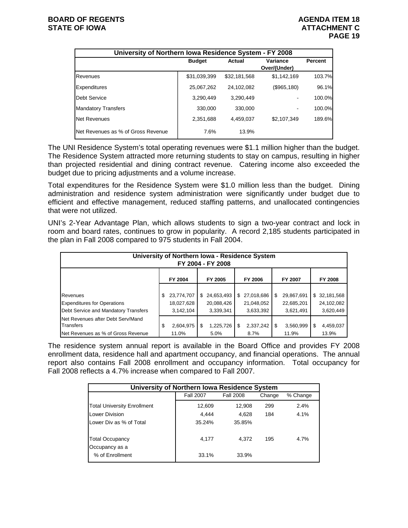| University of Northern Iowa Residence System - FY 2008 |               |              |                          |                |
|--------------------------------------------------------|---------------|--------------|--------------------------|----------------|
|                                                        | <b>Budget</b> | Actual       | Variance<br>Over/(Under) | <b>Percent</b> |
| Revenues                                               | \$31,039,399  | \$32,181,568 | \$1,142,169              | 103.7%         |
| Expenditures                                           | 25,067,262    | 24,102,082   | (\$965,180)              | 96.1%          |
| Debt Service                                           | 3,290,449     | 3.290.449    |                          | 100.0%         |
| <b>Mandatory Transfers</b>                             | 330,000       | 330,000      |                          | 100.0%         |
| <b>Net Revenues</b>                                    | 2,351,688     | 4,459,037    | \$2,107,349              | 189.6%         |
| Net Revenues as % of Gross Revenue                     | 7.6%          | 13.9%        |                          |                |

The UNI Residence System's total operating revenues were \$1.1 million higher than the budget. The Residence System attracted more returning students to stay on campus, resulting in higher than projected residential and dining contract revenue. Catering income also exceeded the budget due to pricing adjustments and a volume increase.

Total expenditures for the Residence System were \$1.0 million less than the budget. Dining administration and residence system administration were significantly under budget due to efficient and effective management, reduced staffing patterns, and unallocated contingencies that were not utilized.

UNI's 2-Year Advantage Plan, which allows students to sign a two-year contract and lock in room and board rates, continues to grow in popularity. A record 2,185 students participated in the plan in Fall 2008 compared to 975 students in Fall 2004.

| University of Northern Iowa - Residence System<br>FY 2004 - FY 2008 |    |            |    |            |      |            |    |            |    |              |
|---------------------------------------------------------------------|----|------------|----|------------|------|------------|----|------------|----|--------------|
|                                                                     |    | FY 2004    |    | FY 2005    |      | FY 2006    |    | FY 2007    |    | FY 2008      |
|                                                                     |    |            |    |            |      |            |    |            |    |              |
| Revenues                                                            |    | 23,774,707 | \$ | 24,653,493 | \$   | 27,018,686 | \$ | 29,867,691 |    | \$32,181,568 |
| <b>Expenditures for Operations</b>                                  |    | 18,027,628 |    | 20,088,426 |      | 21,048,052 |    | 22,685,201 |    | 24,102,082   |
| Debt Service and Mandatory Transfers                                |    | 3,142,104  |    | 3,339,341  |      | 3,633,392  |    | 3,621,491  |    | 3,620,449    |
| Net Revenues after Debt Serv/Mand<br><b>Transfers</b>               | \$ | 2,604,975  | S  | 1,225,726  | - \$ | 2,337,242  | \$ | 3,560,999  | \$ | 4,459,037    |
| Net Revenues as % of Gross Revenue                                  |    | 11.0%      |    | 5.0%       |      | 8.7%       |    | 11.9%      |    | 13.9%        |

The residence system annual report is available in the Board Office and provides FY 2008 enrollment data, residence hall and apartment occupancy, and financial operations. The annual report also contains Fall 2008 enrollment and occupancy information. Total occupancy for Fall 2008 reflects a 4.7% increase when compared to Fall 2007.

| University of Northern Iowa Residence System |                  |                  |        |          |  |  |  |  |  |  |
|----------------------------------------------|------------------|------------------|--------|----------|--|--|--|--|--|--|
|                                              | <b>Fall 2007</b> | <b>Fall 2008</b> | Change | % Change |  |  |  |  |  |  |
| <b>Total University Enrollment</b>           | 12,609           | 12,908           | 299    | 2.4%     |  |  |  |  |  |  |
| <b>Lower Division</b>                        | 4.444            | 4.628            | 184    | 4.1%     |  |  |  |  |  |  |
| Lower Div as % of Total                      | 35.24%           | 35.85%           |        |          |  |  |  |  |  |  |
| <b>Total Occupancy</b><br>Occupancy as a     | 4,177            | 4.372            | 195    | 4.7%     |  |  |  |  |  |  |
| % of Enrollment                              | 33.1%            | 33.9%            |        |          |  |  |  |  |  |  |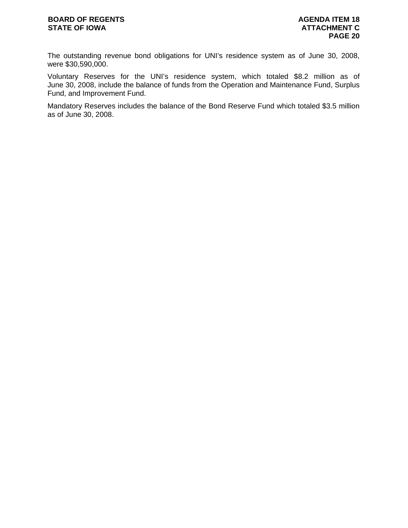## **BOARD OF REGENTS AGENUS AGENDA ITEM 18** STATE OF IOWA **ATTACHMENT C**

The outstanding revenue bond obligations for UNI's residence system as of June 30, 2008, were \$30,590,000.

Voluntary Reserves for the UNI's residence system, which totaled \$8.2 million as of June 30, 2008, include the balance of funds from the Operation and Maintenance Fund, Surplus Fund, and Improvement Fund.

Mandatory Reserves includes the balance of the Bond Reserve Fund which totaled \$3.5 million as of June 30, 2008.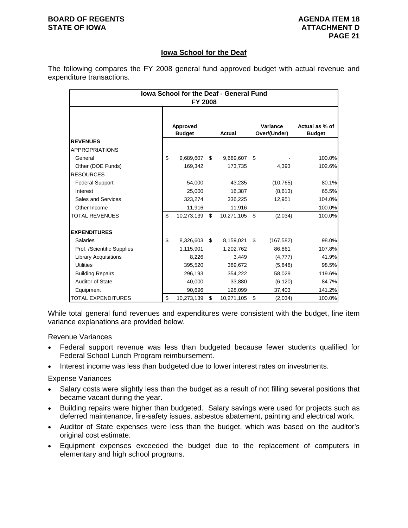## **BOARD OF REGENTS AGENUS AGENDA ITEM 18 STATE OF IOWA ATTACHMENT D**

# **Iowa School for the Deaf**

The following compares the FY 2008 general fund approved budget with actual revenue and expenditure transactions.

| <b>Iowa School for the Deaf - General Fund</b><br>FY 2008 |    |                           |    |            |    |                          |                                 |  |  |  |  |
|-----------------------------------------------------------|----|---------------------------|----|------------|----|--------------------------|---------------------------------|--|--|--|--|
|                                                           |    | Approved<br><b>Budget</b> |    | Actual     |    | Variance<br>Over/(Under) | Actual as % of<br><b>Budget</b> |  |  |  |  |
| <b>REVENUES</b>                                           |    |                           |    |            |    |                          |                                 |  |  |  |  |
| <b>APPROPRIATIONS</b>                                     |    |                           |    |            |    |                          |                                 |  |  |  |  |
| General                                                   | \$ | 9,689,607                 | \$ | 9,689,607  | \$ |                          | 100.0%                          |  |  |  |  |
| Other (DOE Funds)                                         |    | 169,342                   |    | 173,735    |    | 4,393                    | 102.6%                          |  |  |  |  |
| <b>RESOURCES</b>                                          |    |                           |    |            |    |                          |                                 |  |  |  |  |
| <b>Federal Support</b>                                    |    | 54,000                    |    | 43,235     |    | (10, 765)                | 80.1%                           |  |  |  |  |
| Interest                                                  |    | 25,000                    |    | 16,387     |    | (8,613)                  | 65.5%                           |  |  |  |  |
| Sales and Services                                        |    | 323,274                   |    | 336,225    |    | 12,951                   | 104.0%                          |  |  |  |  |
| Other Income                                              |    | 11,916                    |    | 11,916     |    |                          | 100.0%                          |  |  |  |  |
| <b>TOTAL REVENUES</b>                                     | \$ | 10,273,139                | \$ | 10,271,105 | \$ | (2,034)                  | 100.0%                          |  |  |  |  |
| <b>EXPENDITURES</b>                                       |    |                           |    |            |    |                          |                                 |  |  |  |  |
| <b>Salaries</b>                                           | \$ | 8,326,603                 | \$ | 8,159,021  | \$ | (167, 582)               | 98.0%                           |  |  |  |  |
| Prof. /Scientific Supplies                                |    | 1,115,901                 |    | 1,202,762  |    | 86,861                   | 107.8%                          |  |  |  |  |
| <b>Library Acquisitions</b>                               |    | 8,226                     |    | 3,449      |    | (4,777)                  | 41.9%                           |  |  |  |  |
| <b>Utilities</b>                                          |    | 395,520                   |    | 389,672    |    | (5,848)                  | 98.5%                           |  |  |  |  |
| <b>Building Repairs</b>                                   |    | 296,193                   |    | 354,222    |    | 58,029                   | 119.6%                          |  |  |  |  |
| Auditor of State                                          |    | 40,000                    |    | 33,880     |    | (6, 120)                 | 84.7%                           |  |  |  |  |
| Equipment                                                 |    | 90,696                    |    | 128,099    |    | 37,403                   | 141.2%                          |  |  |  |  |
| TOTAL EXPENDITURES                                        | \$ | 10,273,139                | \$ | 10,271,105 | \$ | (2,034)                  | 100.0%                          |  |  |  |  |

While total general fund revenues and expenditures were consistent with the budget, line item variance explanations are provided below.

Revenue Variances

- Federal support revenue was less than budgeted because fewer students qualified for Federal School Lunch Program reimbursement.
- Interest income was less than budgeted due to lower interest rates on investments.

- Salary costs were slightly less than the budget as a result of not filling several positions that became vacant during the year.
- Building repairs were higher than budgeted. Salary savings were used for projects such as deferred maintenance, fire-safety issues, asbestos abatement, painting and electrical work.
- Auditor of State expenses were less than the budget, which was based on the auditor's original cost estimate.
- Equipment expenses exceeded the budget due to the replacement of computers in elementary and high school programs.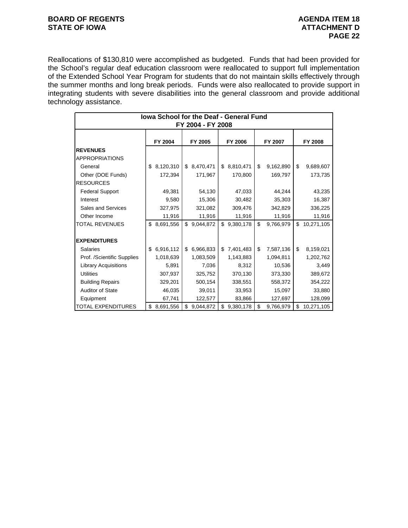# **BOARD OF REGENTS AGENDA ITEM 18**<br> **BOARD OF IOWA**<br> **BOARD OF IOWA**

Reallocations of \$130,810 were accomplished as budgeted. Funds that had been provided for the School's regular deaf education classroom were reallocated to support full implementation of the Extended School Year Program for students that do not maintain skills effectively through the summer months and long break periods. Funds were also reallocated to provide support in integrating students with severe disabilities into the general classroom and provide additional technology assistance.

| lowa School for the Deaf - General Fund<br>FY 2004 - FY 2008 |                 |                 |                 |                 |                  |  |  |  |  |  |  |
|--------------------------------------------------------------|-----------------|-----------------|-----------------|-----------------|------------------|--|--|--|--|--|--|
|                                                              | FY 2004         | FY 2005         | FY 2006         | FY 2007         | FY 2008          |  |  |  |  |  |  |
| <b>REVENUES</b><br><b>APPROPRIATIONS</b>                     |                 |                 |                 |                 |                  |  |  |  |  |  |  |
| General                                                      | 8,120,310<br>\$ | 8,470,471<br>\$ | \$8,810,471     | \$<br>9,162,890 | \$<br>9,689,607  |  |  |  |  |  |  |
| Other (DOE Funds)                                            | 172,394         | 171,967         | 170,800         | 169,797         | 173,735          |  |  |  |  |  |  |
| <b>RESOURCES</b>                                             |                 |                 |                 |                 |                  |  |  |  |  |  |  |
| <b>Federal Support</b>                                       | 49,381          | 54,130          | 47,033          | 44,244          | 43,235           |  |  |  |  |  |  |
| Interest                                                     | 9,580           | 15,306          | 30,482          | 35,303          | 16,387           |  |  |  |  |  |  |
| Sales and Services                                           | 327,975         | 321,082         | 309,476         | 342,829         | 336,225          |  |  |  |  |  |  |
| Other Income                                                 | 11,916          | 11,916          | 11,916          | 11,916          | 11,916           |  |  |  |  |  |  |
| <b>TOTAL REVENUES</b>                                        | 8,691,556<br>\$ | \$<br>9,044,872 | \$9,380,178     | \$<br>9,766,979 | \$<br>10,271,105 |  |  |  |  |  |  |
|                                                              |                 |                 |                 |                 |                  |  |  |  |  |  |  |
| <b>EXPENDITURES</b>                                          |                 |                 |                 |                 |                  |  |  |  |  |  |  |
| <b>Salaries</b>                                              | 6,916,112<br>\$ | 6,966,833<br>\$ | 7,401,483<br>\$ | \$<br>7,587,136 | \$<br>8,159,021  |  |  |  |  |  |  |
| Prof. /Scientific Supplies                                   | 1,018,639       | 1,083,509       | 1,143,883       | 1,094,811       | 1,202,762        |  |  |  |  |  |  |
| Library Acquisitions                                         | 5,891           | 7,036           | 8,312           | 10,536          | 3,449            |  |  |  |  |  |  |
| <b>Utilities</b>                                             | 307,937         | 325,752         | 370,130         | 373,330         | 389,672          |  |  |  |  |  |  |
| <b>Building Repairs</b>                                      | 329,201         | 500,154         | 338,551         | 558,372         | 354,222          |  |  |  |  |  |  |
| <b>Auditor of State</b>                                      | 46,035          | 39,011          | 33,953          | 15,097          | 33,880           |  |  |  |  |  |  |
| Equipment                                                    | 67,741          | 122,577         | 83,866          | 127,697         | 128,099          |  |  |  |  |  |  |
| <b>TOTAL EXPENDITURES</b>                                    | 8,691,556<br>\$ | \$<br>9,044,872 | \$<br>9,380,178 | \$<br>9,766,979 | \$<br>10,271,105 |  |  |  |  |  |  |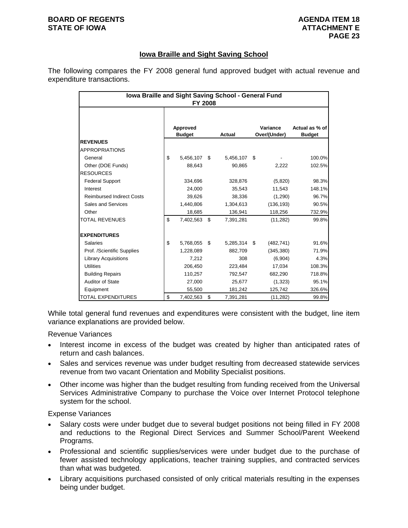### **BOARD OF REGENTS AGENUS AGENDA ITEM 18 STATE OF IOWA ATTACHMENT E**

# **Iowa Braille and Sight Saving School**

The following compares the FY 2008 general fund approved budget with actual revenue and expenditure transactions.

| Iowa Braille and Sight Saving School - General Fund<br><b>FY 2008</b> |    |                           |    |           |    |                          |                                 |  |  |  |
|-----------------------------------------------------------------------|----|---------------------------|----|-----------|----|--------------------------|---------------------------------|--|--|--|
|                                                                       |    | Approved<br><b>Budget</b> |    | Actual    |    | Variance<br>Over/(Under) | Actual as % of<br><b>Budget</b> |  |  |  |
| <b>REVENUES</b>                                                       |    |                           |    |           |    |                          |                                 |  |  |  |
| <b>APPROPRIATIONS</b>                                                 |    |                           |    |           |    |                          |                                 |  |  |  |
| General                                                               | \$ | 5,456,107                 | \$ | 5,456,107 | \$ |                          | 100.0%                          |  |  |  |
| Other (DOE Funds)                                                     |    | 88,643                    |    | 90,865    |    | 2,222                    | 102.5%                          |  |  |  |
| <b>RESOURCES</b>                                                      |    |                           |    |           |    |                          |                                 |  |  |  |
| <b>Federal Support</b>                                                |    | 334,696                   |    | 328,876   |    | (5,820)                  | 98.3%                           |  |  |  |
| Interest                                                              |    | 24,000                    |    | 35,543    |    | 11,543                   | 148.1%                          |  |  |  |
| <b>Reimbursed Indirect Costs</b>                                      |    | 39,626                    |    | 38,336    |    | (1,290)                  | 96.7%                           |  |  |  |
| Sales and Services                                                    |    | 1,440,806                 |    | 1,304,613 |    | (136, 193)               | 90.5%                           |  |  |  |
| Other                                                                 |    | 18,685                    |    | 136,941   |    | 118,256                  | 732.9%                          |  |  |  |
| <b>TOTAL REVENUES</b>                                                 | \$ | 7,402,563                 | \$ | 7,391,281 |    | (11, 282)                | 99.8%                           |  |  |  |
| <b>EXPENDITURES</b>                                                   |    |                           |    |           |    |                          |                                 |  |  |  |
| <b>Salaries</b>                                                       | \$ | 5,768,055                 | \$ | 5,285,314 | \$ | (482, 741)               | 91.6%                           |  |  |  |
| Prof. /Scientific Supplies                                            |    | 1,228,089                 |    | 882,709   |    | (345, 380)               | 71.9%                           |  |  |  |
| <b>Library Acquisitions</b>                                           |    | 7,212                     |    | 308       |    | (6,904)                  | 4.3%                            |  |  |  |
| <b>Utilities</b>                                                      |    | 206,450                   |    | 223,484   |    | 17,034                   | 108.3%                          |  |  |  |
| <b>Building Repairs</b>                                               |    | 110,257                   |    | 792,547   |    | 682,290                  | 718.8%                          |  |  |  |
| Auditor of State                                                      |    | 27,000                    |    | 25,677    |    | (1,323)                  | 95.1%                           |  |  |  |
| Equipment                                                             |    | 55,500                    |    | 181,242   |    | 125,742                  | 326.6%                          |  |  |  |
| TOTAL EXPENDITURES                                                    | \$ | 7,402,563                 | \$ | 7,391,281 |    | (11, 282)                | 99.8%                           |  |  |  |

While total general fund revenues and expenditures were consistent with the budget, line item variance explanations are provided below.

Revenue Variances

- Interest income in excess of the budget was created by higher than anticipated rates of return and cash balances.
- Sales and services revenue was under budget resulting from decreased statewide services revenue from two vacant Orientation and Mobility Specialist positions.
- Other income was higher than the budget resulting from funding received from the Universal Services Administrative Company to purchase the Voice over Internet Protocol telephone system for the school.

- Salary costs were under budget due to several budget positions not being filled in FY 2008 and reductions to the Regional Direct Services and Summer School/Parent Weekend Programs.
- Professional and scientific supplies/services were under budget due to the purchase of fewer assisted technology applications, teacher training supplies, and contracted services than what was budgeted.
- Library acquisitions purchased consisted of only critical materials resulting in the expenses being under budget.